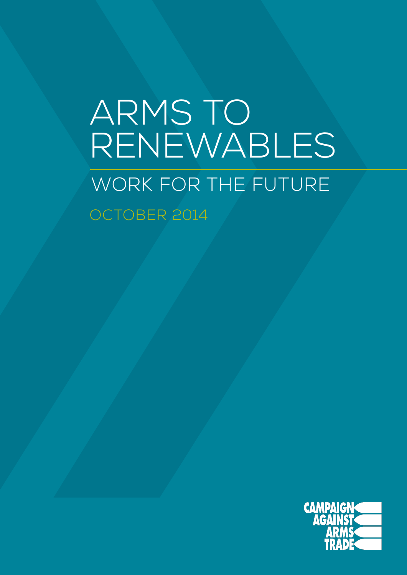## ARMS TO RENEWABLES WORK FOR THE FUTURE OCTOBER 2014

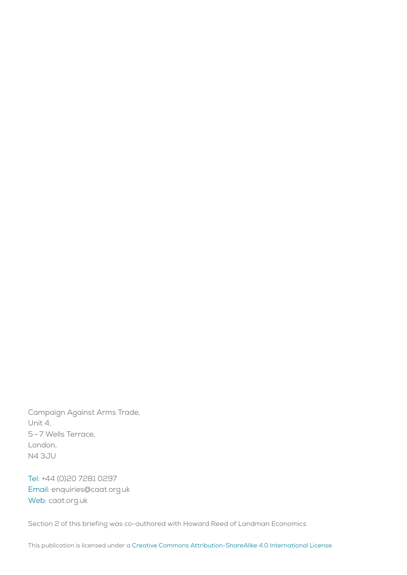Campaign Against Arms Trade, Unit 4, 5–7 Wells Terrace, London, N4 3JU

Tel: +44 (0)20 7281 0297 Email: enquiries@caat.org.uk Web: caat.org.uk

Section 2 of this briefing was co-authored with Howard Reed of Landman Economics

This publication is licensed under a [Creative Commons Attribution-ShareAlike 4.0 International License](https://creativecommons.org/licenses/by-sa/4.0/deed.en_GB)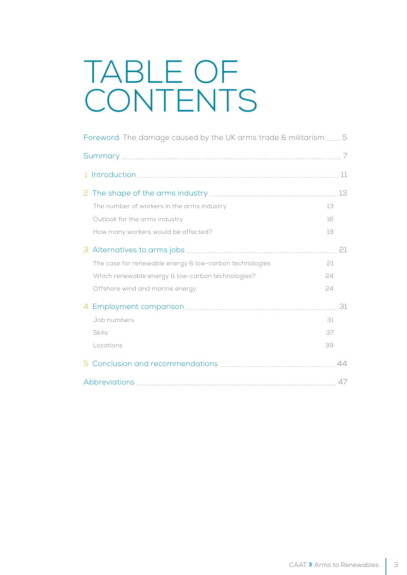## TABLE OF CONTENTS

| $\frac{1}{1}$ Introduction $\frac{1}{1}$                                                                                                                                                                                                     |    |                |
|----------------------------------------------------------------------------------------------------------------------------------------------------------------------------------------------------------------------------------------------|----|----------------|
| 2 The shape of the arms industry <b>[2004]</b> The shape of the arms industry <b>[2004]</b> The shape of the arms industry <b>[2004]</b> The shape of the arms in the state of the state of the state of the state of the state of the state |    |                |
| The number of workers in the arms industry                                                                                                                                                                                                   | 13 |                |
| Outlook for the arms industry                                                                                                                                                                                                                | 16 |                |
| How many workers would be affected?                                                                                                                                                                                                          | 19 |                |
|                                                                                                                                                                                                                                              |    |                |
| The case for renewable energy & low-carbon technologies                                                                                                                                                                                      | 21 |                |
| Which renewable energy & low-carbon technologies?                                                                                                                                                                                            | 24 |                |
| Offshore wind and marine energy                                                                                                                                                                                                              | 24 |                |
|                                                                                                                                                                                                                                              |    | 31             |
| Job numbers                                                                                                                                                                                                                                  | 31 |                |
| Skills                                                                                                                                                                                                                                       | 37 |                |
| Locations                                                                                                                                                                                                                                    | 39 |                |
| 5 Conclusion and recommendations <b>contract to a contract the contract of the Concentract Contract Contract Concentract Concentract Concentract Concentract Concentract Concentract Concentract Concentract Concentract Concent</b>         |    | $\Delta\Delta$ |
|                                                                                                                                                                                                                                              |    |                |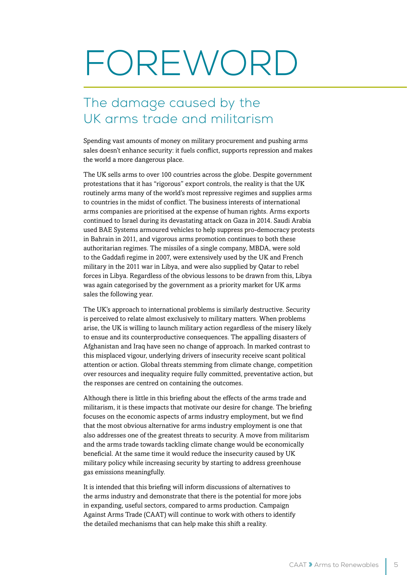# FOREWORD

## The damage caused by the UK arms trade and militarism

Spending vast amounts of money on military procurement and pushing arms sales doesn't enhance security: it fuels conflict, supports repression and makes the world a more dangerous place.

The UK sells arms to over 100 countries across the globe. Despite government protestations that it has "rigorous" export controls, the reality is that the UK routinely arms many of the world's most repressive regimes and supplies arms to countries in the midst of conflict. The business interests of international arms companies are prioritised at the expense of human rights. Arms exports continued to Israel during its devastating attack on Gaza in 2014. Saudi Arabia used BAE Systems armoured vehicles to help suppress pro-democracy protests in Bahrain in 2011, and vigorous arms promotion continues to both these authoritarian regimes. The missiles of a single company, MBDA, were sold to the Gaddafi regime in 2007, were extensively used by the UK and French military in the 2011 war in Libya, and were also supplied by Qatar to rebel forces in Libya. Regardless of the obvious lessons to be drawn from this, Libya was again categorised by the government as a priority market for UK arms sales the following year.

The UK's approach to international problems is similarly destructive. Security is perceived to relate almost exclusively to military matters. When problems arise, the UK is willing to launch military action regardless of the misery likely to ensue and its counterproductive consequences. The appalling disasters of Afghanistan and Iraq have seen no change of approach. In marked contrast to this misplaced vigour, underlying drivers of insecurity receive scant political attention or action. Global threats stemming from climate change, competition over resources and inequality require fully committed, preventative action, but the responses are centred on containing the outcomes.

Although there is little in this briefing about the effects of the arms trade and militarism, it is these impacts that motivate our desire for change. The briefing focuses on the economic aspects of arms industry employment, but we find that the most obvious alternative for arms industry employment is one that also addresses one of the greatest threats to security. A move from militarism and the arms trade towards tackling climate change would be economically beneficial. At the same time it would reduce the insecurity caused by UK military policy while increasing security by starting to address greenhouse gas emissions meaningfully.

It is intended that this briefing will inform discussions of alternatives to the arms industry and demonstrate that there is the potential for more jobs in expanding, useful sectors, compared to arms production. Campaign Against Arms Trade (CAAT) will continue to work with others to identify the detailed mechanisms that can help make this shift a reality.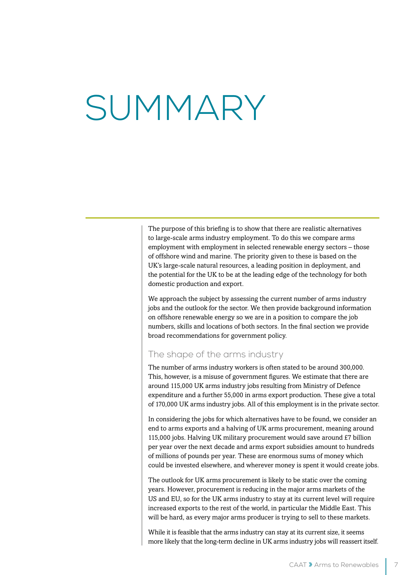# SUMMARY

The purpose of this briefing is to show that there are realistic alternatives to large-scale arms industry employment. To do this we compare arms employment with employment in selected renewable energy sectors – those of offshore wind and marine. The priority given to these is based on the UK's large-scale natural resources, a leading position in deployment, and the potential for the UK to be at the leading edge of the technology for both domestic production and export.

We approach the subject by assessing the current number of arms industry jobs and the outlook for the sector. We then provide background information on offshore renewable energy so we are in a position to compare the job numbers, skills and locations of both sectors. In the final section we provide broad recommendations for government policy.

#### The shape of the arms industry

The number of arms industry workers is often stated to be around 300,000. This, however, is a misuse of government figures. We estimate that there are around 115,000 UK arms industry jobs resulting from Ministry of Defence expenditure and a further 55,000 in arms export production. These give a total of 170,000 UK arms industry jobs. All of this employment is in the private sector.

In considering the jobs for which alternatives have to be found, we consider an end to arms exports and a halving of UK arms procurement, meaning around 115,000 jobs. Halving UK military procurement would save around £7 billion per year over the next decade and arms export subsidies amount to hundreds of millions of pounds per year. These are enormous sums of money which could be invested elsewhere, and wherever money is spent it would create jobs.

The outlook for UK arms procurement is likely to be static over the coming years. However, procurement is reducing in the major arms markets of the US and EU, so for the UK arms industry to stay at its current level will require increased exports to the rest of the world, in particular the Middle East. This will be hard, as every major arms producer is trying to sell to these markets.

While it is feasible that the arms industry can stay at its current size, it seems more likely that the long-term decline in UK arms industry jobs will reassert itself.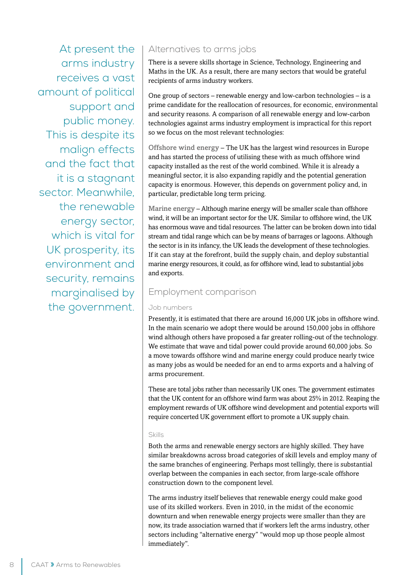At present the arms industry receives a vast amount of political support and public money. This is despite its malign effects and the fact that it is a stagnant sector. Meanwhile, the renewable energy sector, which is vital for UK prosperity, its environment and security, remains marginalised by the government.

#### Alternatives to arms jobs

There is a severe skills shortage in Science, Technology, Engineering and Maths in the UK. As a result, there are many sectors that would be grateful recipients of arms industry workers.

One group of sectors – renewable energy and low-carbon technologies – is a prime candidate for the reallocation of resources, for economic, environmental and security reasons. A comparison of all renewable energy and low-carbon technologies against arms industry employment is impractical for this report so we focus on the most relevant technologies:

Offshore wind energy – The UK has the largest wind resources in Europe and has started the process of utilising these with as much offshore wind capacity installed as the rest of the world combined. While it is already a meaningful sector, it is also expanding rapidly and the potential generation capacity is enormous. However, this depends on government policy and, in particular, predictable long term pricing.

Marine energy – Although marine energy will be smaller scale than offshore wind, it will be an important sector for the UK. Similar to offshore wind, the UK has enormous wave and tidal resources. The latter can be broken down into tidal stream and tidal range which can be by means of barrages or lagoons. Although the sector is in its infancy, the UK leads the development of these technologies. If it can stay at the forefront, build the supply chain, and deploy substantial marine energy resources, it could, as for offshore wind, lead to substantial jobs and exports.

#### Employment comparison

#### Job numbers

Presently, it is estimated that there are around 16,000 UK jobs in offshore wind. In the main scenario we adopt there would be around 150,000 jobs in offshore wind although others have proposed a far greater rolling-out of the technology. We estimate that wave and tidal power could provide around 60,000 jobs. So a move towards offshore wind and marine energy could produce nearly twice as many jobs as would be needed for an end to arms exports and a halving of arms procurement.

These are total jobs rather than necessarily UK ones. The government estimates that the UK content for an offshore wind farm was about 25% in 2012. Reaping the employment rewards of UK offshore wind development and potential exports will require concerted UK government effort to promote a UK supply chain.

#### Skills

Both the arms and renewable energy sectors are highly skilled. They have similar breakdowns across broad categories of skill levels and employ many of the same branches of engineering. Perhaps most tellingly, there is substantial overlap between the companies in each sector, from large-scale offshore construction down to the component level.

The arms industry itself believes that renewable energy could make good use of its skilled workers. Even in 2010, in the midst of the economic downturn and when renewable energy projects were smaller than they are now, its trade association warned that if workers left the arms industry, other sectors including "alternative energy" "would mop up those people almost immediately".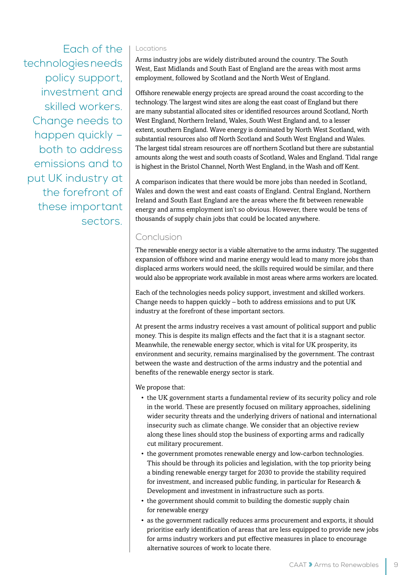Each of the technologies needs policy support, investment and skilled workers. Change needs to happen quickly – both to address emissions and to put UK industry at the forefront of these important sectors.

#### Locations

Arms industry jobs are widely distributed around the country. The South West, East Midlands and South East of England are the areas with most arms employment, followed by Scotland and the North West of England.

Offshore renewable energy projects are spread around the coast according to the technology. The largest wind sites are along the east coast of England but there are many substantial allocated sites or identified resources around Scotland, North West England, Northern Ireland, Wales, South West England and, to a lesser extent, southern England. Wave energy is dominated by North West Scotland, with substantial resources also off North Scotland and South West England and Wales. The largest tidal stream resources are off northern Scotland but there are substantial amounts along the west and south coasts of Scotland, Wales and England. Tidal range is highest in the Bristol Channel, North West England, in the Wash and off Kent.

A comparison indicates that there would be more jobs than needed in Scotland, Wales and down the west and east coasts of England. Central England, Northern Ireland and South East England are the areas where the fit between renewable energy and arms employment isn't so obvious. However, there would be tens of thousands of supply chain jobs that could be located anywhere.

#### Conclusion

The renewable energy sector is a viable alternative to the arms industry. The suggested expansion of offshore wind and marine energy would lead to many more jobs than displaced arms workers would need, the skills required would be similar, and there would also be appropriate work available in most areas where arms workers are located.

Each of the technologies needs policy support, investment and skilled workers. Change needs to happen quickly – both to address emissions and to put UK industry at the forefront of these important sectors.

At present the arms industry receives a vast amount of political support and public money. This is despite its malign effects and the fact that it is a stagnant sector. Meanwhile, the renewable energy sector, which is vital for UK prosperity, its environment and security, remains marginalised by the government. The contrast between the waste and destruction of the arms industry and the potential and benefits of the renewable energy sector is stark.

We propose that:

- the UK government starts a fundamental review of its security policy and role in the world. These are presently focused on military approaches, sidelining wider security threats and the underlying drivers of national and international insecurity such as climate change. We consider that an objective review along these lines should stop the business of exporting arms and radically cut military procurement.
- the government promotes renewable energy and low-carbon technologies. This should be through its policies and legislation, with the top priority being a binding renewable energy target for 2030 to provide the stability required for investment, and increased public funding, in particular for Research & Development and investment in infrastructure such as ports.
- the government should commit to building the domestic supply chain for renewable energy
- as the government radically reduces arms procurement and exports, it should prioritise early identification of areas that are less equipped to provide new jobs for arms industry workers and put effective measures in place to encourage alternative sources of work to locate there.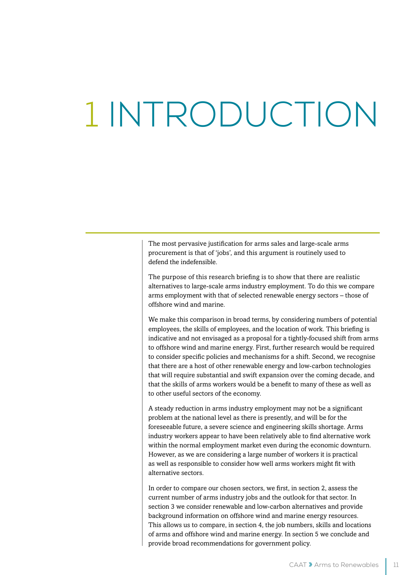# 1 INTRODUCTION

The most pervasive justification for arms sales and large-scale arms procurement is that of 'jobs', and this argument is routinely used to defend the indefensible.

The purpose of this research briefing is to show that there are realistic alternatives to large-scale arms industry employment. To do this we compare arms employment with that of selected renewable energy sectors – those of offshore wind and marine.

We make this comparison in broad terms, by considering numbers of potential employees, the skills of employees, and the location of work. This briefing is indicative and not envisaged as a proposal for a tightly-focused shift from arms to offshore wind and marine energy. First, further research would be required to consider specific policies and mechanisms for a shift. Second, we recognise that there are a host of other renewable energy and low-carbon technologies that will require substantial and swift expansion over the coming decade, and that the skills of arms workers would be a benefit to many of these as well as to other useful sectors of the economy.

A steady reduction in arms industry employment may not be a significant problem at the national level as there is presently, and will be for the foreseeable future, a severe science and engineering skills shortage. Arms industry workers appear to have been relatively able to find alternative work within the normal employment market even during the economic downturn. However, as we are considering a large number of workers it is practical as well as responsible to consider how well arms workers might fit with alternative sectors.

In order to compare our chosen sectors, we first, in section 2, assess the current number of arms industry jobs and the outlook for that sector. In section 3 we consider renewable and low-carbon alternatives and provide background information on offshore wind and marine energy resources. This allows us to compare, in section 4, the job numbers, skills and locations of arms and offshore wind and marine energy. In section 5 we conclude and provide broad recommendations for government policy.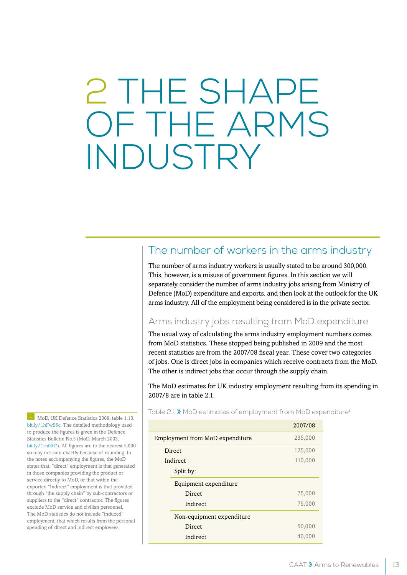## 2 THE SHAPE OF THE ARMS INDUSTRY

## The number of workers in the arms industry

The number of arms industry workers is usually stated to be around 300,000. This, however, is a misuse of government figures. In this section we will separately consider the number of arms industry jobs arising from Ministry of Defence (MoD) expenditure and exports, and then look at the outlook for the UK arms industry. All of the employment being considered is in the private sector.

### Arms industry jobs resulting from MoD expenditure

The usual way of calculating the arms industry employment numbers comes from MoD statistics. These stopped being published in 2009 and the most recent statistics are from the 2007/08 fiscal year. These cover two categories of jobs. One is direct jobs in companies which receive contracts from the MoD. The other is indirect jobs that occur through the supply chain.

The MoD estimates for UK industry employment resulting from its spending in 2007/8 are in table 2.1.

Table 2.1 > MoD estimates of employment from MoD expenditure<sup>1</sup>

|                                 | 2007/08 |
|---------------------------------|---------|
| Employment from MoD expenditure | 235,000 |
| <b>Direct</b>                   | 125,000 |
| Indirect                        | 110,000 |
| Split by:                       |         |
| Equipment expenditure           |         |
| Direct                          | 75,000  |
| Indirect                        | 75,000  |
| Non-equipment expenditure       |         |
| Direct                          | 50,000  |
| Indirect                        | 40,000  |

MoD, UK Defence Statistics 2009, table 1.10, [bit.ly/1hFwS6c.](http://bit.ly/1hFwS6c) The detailed methodology used to produce the figures is given in the Defence Statistics Bulletin No.5 (MoD, March 2003, [bit.ly/1rnf367](http://bit.ly/1rnf367)). All figures are to the nearest 5,000 so may not sum exactly because of rounding. In the notes accompanying the figures, the MoD states that: "direct" employment is that generated in those companies providing the product or service directly to MoD, or that within the exporter. "Indirect" employment is that provided through "the supply chain" by sub-contractors or suppliers to the "direct" contractor. The figures exclude MoD service and civilian personnel, The MoD statistics do not include "induced" employment, that which results from the personal spending of direct and indirect employees.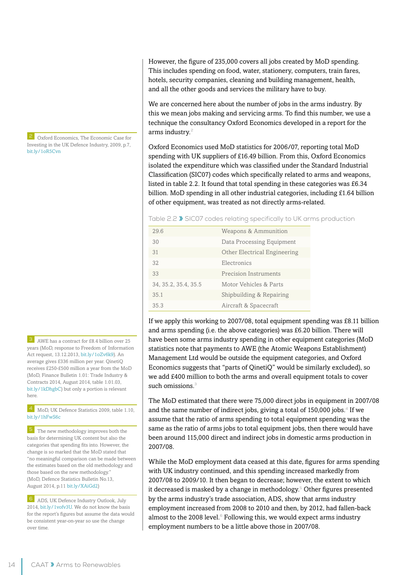2 Oxford Economics, The Economic Case for Investing in the UK Defence Industry, 2009, p.7, [bit.ly/1oR5Cvn](http://bit.ly/1oR5Cvn)

AWE has a contract for £8.4 billion over 25 years (MoD, response to Freedom of Information Act request, 13.12.2013, [bit.ly/1oZv6k9](http://bit.ly/1oZv6k9)). An average gives £336 million per year. QinetiQ receives £250-£500 million a year from the MoD (MoD, Finance Bulletin 1.01: Trade Industry & Contracts 2014, August 2014, table 1.01.03, [bit.ly/1kDhgbC](http://bit.ly/1kDhgbC)) but only a portion is relevant here.

4 MoD, UK Defence Statistics 2009, table 1.10, [bit.ly/1hFwS6c](http://bit.ly/1hFwS6c)

**5** The new methodology improves both the basis for determining UK content but also the categories that spending fits into. However, the change is so marked that the MoD stated that "no meaningful comparison can be made between the estimates based on the old methodology and those based on the new methodology." (MoD, Defence Statistics Bulletin No.13, August 2014, p.11 [bit.ly/XAiGd2](http://bit.ly/XAiGd2))

6 ADS, UK Defence Industry Outlook, July 2014, [bit.ly/1vofv3U.](http://bit.ly/1vofv3U) We do not know the basis for the report's figures but assume the data would be consistent year-on-year so use the change over time.

However, the figure of 235,000 covers all jobs created by MoD spending. This includes spending on food, water, stationery, computers, train fares, hotels, security companies, cleaning and building management, health, and all the other goods and services the military have to buy.

We are concerned here about the number of jobs in the arms industry. By this we mean jobs making and servicing arms. To find this number, we use a technique the consultancy Oxford Economics developed in a report for the arms industry.<sup>2</sup>

Oxford Economics used MoD statistics for 2006/07, reporting total MoD spending with UK suppliers of £16.49 billion. From this, Oxford Economics isolated the expenditure which was classified under the Standard Industrial Classification (SIC07) codes which specifically related to arms and weapons, listed in table 2.2. It found that total spending in these categories was £6.34 billion. MoD spending in all other industrial categories, including £1.64 billion of other equipment, was treated as not directly arms-related.

|  | Table 2.2 » SIC07 codes relating specifically to UK arms production |
|--|---------------------------------------------------------------------|
|--|---------------------------------------------------------------------|

| 296                  | Weapons & Ammunition                |
|----------------------|-------------------------------------|
| 30                   | Data Processing Equipment           |
| 31                   | <b>Other Electrical Engineering</b> |
| 32                   | Electronics                         |
| 33                   | <b>Precision Instruments</b>        |
| 34, 35.2, 35.4, 35.5 | Motor Vehicles & Parts              |
| 35.1                 | Shipbuilding & Repairing            |
| 35.3                 | Aircraft & Spacecraft               |
|                      |                                     |

If we apply this working to 2007/08, total equipment spending was £8.11 billion and arms spending (i.e. the above categories) was £6.20 billion. There will have been some arms industry spending in other equipment categories (MoD statistics note that payments to AWE (the Atomic Weapons Establishment) Management Ltd would be outside the equipment categories, and Oxford Economics suggests that "parts of QinetiQ" would be similarly excluded), so we add £400 million to both the arms and overall equipment totals to cover such omissions.<sup>3</sup>

The MoD estimated that there were 75,000 direct jobs in equipment in 2007/08 and the same number of indirect jobs, giving a total of  $150,000$  jobs. $4$  If we assume that the ratio of arms spending to total equipment spending was the same as the ratio of arms jobs to total equipment jobs, then there would have been around 115,000 direct and indirect jobs in domestic arms production in 2007/08.

While the MoD employment data ceased at this date, figures for arms spending with UK industry continued, and this spending increased markedly from 2007/08 to 2009/10. It then began to decrease; however, the extent to which it decreased is masked by a change in methodology.<sup>5</sup> Other figures presented by the arms industry's trade association, ADS, show that arms industry employment increased from 2008 to 2010 and then, by 2012, had fallen-back almost to the 2008 level. $6$  Following this, we would expect arms industry employment numbers to be a little above those in 2007/08.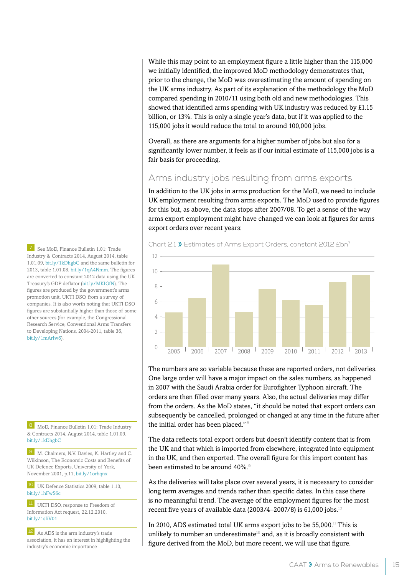While this may point to an employment figure a little higher than the 115,000 we initially identified, the improved MoD methodology demonstrates that, prior to the change, the MoD was overestimating the amount of spending on the UK arms industry. As part of its explanation of the methodology the MoD compared spending in 2010/11 using both old and new methodologies. This showed that identified arms spending with UK industry was reduced by £1.15 billion, or 13%. This is only a single year's data, but if it was applied to the 115,000 jobs it would reduce the total to around 100,000 jobs.

Overall, as there are arguments for a higher number of jobs but also for a significantly lower number, it feels as if our initial estimate of 115,000 jobs is a fair basis for proceeding.

#### Arms industry jobs resulting from arms exports

In addition to the UK jobs in arms production for the MoD, we need to include UK employment resulting from arms exports. The MoD used to provide figures for this but, as above, the data stops after 2007/08. To get a sense of the way arms export employment might have changed we can look at figures for arms export orders over recent years:



The numbers are so variable because these are reported orders, not deliveries. One large order will have a major impact on the sales numbers, as happened in 2007 with the Saudi Arabia order for Eurofighter Typhoon aircraft. The orders are then filled over many years. Also, the actual deliveries may differ from the orders. As the MoD states, "it should be noted that export orders can subsequently be cancelled, prolonged or changed at any time in the future after the initial order has been placed."<sup>8</sup>

The data reflects total export orders but doesn't identify content that is from the UK and that which is imported from elsewhere, integrated into equipment in the UK, and then exported. The overall figure for this import content has been estimated to be around 40%.<sup>9</sup>

As the deliveries will take place over several years, it is necessary to consider long term averages and trends rather than specific dates. In this case there is no meaningful trend. The average of the employment figures for the most recent five years of available data (2003/4–2007/8) is 61,000 jobs.<sup>10</sup>

In 2010, ADS estimated total UK arms export jobs to be  $55,000$ .<sup>11</sup> This is unlikely to number an underestimate<sup>12</sup> and, as it is broadly consistent with figure derived from the MoD, but more recent, we will use that figure.

7 See MoD, Finance Bulletin 1.01: Trade Industry & Contracts 2014, August 2014, table 1.01.09, [bit.ly/1kDhgbC](http://bit.ly/1kDhgbC) and the same bulletin for 2013, table 1.01.08, [bit.ly/1qA4Nmm.](http://bit.ly/1qA4Nmm) The figures are converted to constant 2012 data using the UK Treasury's GDP deflator ([bit.ly/MKIGfN](http://bit.ly/MKIGfN)). The figures are produced by the government's arms promotion unit, UKTI DSO, from a survey of companies. It is also worth noting that UKTI DSO figures are substantially higher than those of some other sources (for example, the Congressional Research Service, Conventional Arms Transfers to Developing Nations, 2004-2011, table 36, [bit.ly/1mArIw6](http://bit.ly/1mArIw6)).

8 MoD, Finance Bulletin 1.01: Trade Industry & Contracts 2014, August 2014, table 1.01.09, [bit.ly/1kDhgbC](http://bit.ly/1kDhgbC)

9 M. Chalmers, N.V. Davies, K. Hartley and C. Wilkinson, The Economic Costs and Benefits of UK Defence Exports, University of York, November 2001, p.11, [bit.ly/1orhqnx](http://bit.ly/1orhqnx)

10 UK Defence Statistics 2009, table 1.10, [bit.ly/1hFwS6c](http://bit.ly/1hFwS6c)

11 UKTI DSO, response to Freedom of Information Act request, 22.12.2010, [bit.ly/1sIiV01](http://bit.ly/1sIiV01)

12 As ADS is the arm industry's trade association, it has an interest in highlighting the industry's economic importance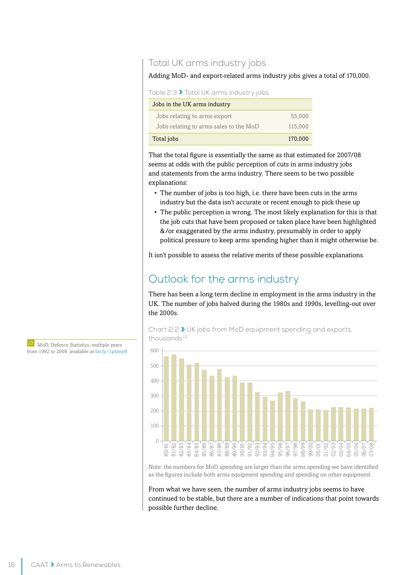### Total UK arms industry jobs

Adding MoD- and export-related arms industry jobs gives a total of 170,000.

Table 2.3 > Total UK arms industry jobs

| Jobs in the UK arms industry           |         |
|----------------------------------------|---------|
| Jobs relating to arms export           | 55,000  |
| Jobs relating to arms sales to the MoD | 115,000 |
| Total jobs                             | 170,000 |

That the total figure is essentially the same as that estimated for 2007/08 seems at odds with the public perception of cuts in arms industry jobs and statements from the arms industry. There seem to be two possible explanations:

- The number of jobs is too high, i.e. there have been cuts in the arms industry but the data isn't accurate or recent enough to pick these up
- The public perception is wrong. The most likely explanation for this is that the job cuts that have been proposed or taken place have been highlighted &/or exaggerated by the arms industry, presumably in order to apply political pressure to keep arms spending higher than it might otherwise be.

It isn't possible to assess the relative merits of these possible explanations.

## Outlook for the arms industry

There has been a long term decline in employment in the arms industry in the UK. The number of jobs halved during the 1980s and 1990s, levelling-out over the 2000s.

Chart 2.2 » UK jobs from MoD equipment spending and exports, thousands $^{13}$ 



Note: the numbers for MoD spending are larger than the arms spending we have identified as the figures include both arms equipment spending and spending on other equipment.

From what we have seen, the number of arms industry jobs seems to have continued to be stable, but there are a number of indications that point towards possible further decline.

13 MoD, Defence Statistics, multiple years from 1992 to 2009, available at [bit.ly/1pIimyR](http://bit.ly/1pIimyR)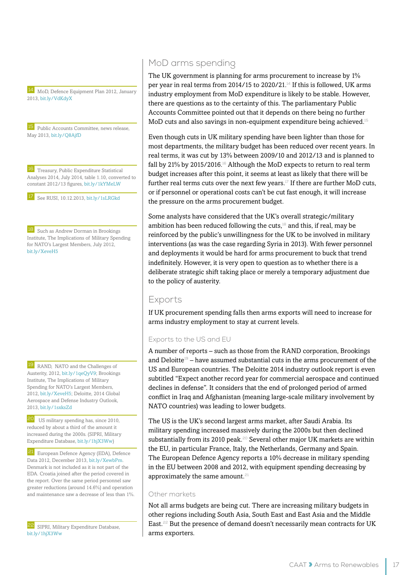14 MoD, Defence Equipment Plan 2012, January 2013, [bit.ly/VdKdyX](http://bit.ly/VdKdyX)

15 Public Accounts Committee, news release, May 2013, [bit.ly/Q8AjfD](http://bit.ly/Q8AjfD)

16 Treasury, Public Expenditure Statistical Analyses 2014, July 2014, table 1.10, converted to constant 2012/13 figures, [bit.ly/1kYMeLW](http://bit.ly/1kYMeLW)

See RUSI, 10.12.2013, [bit.ly/1sLRGkd](http://bit.ly/1sLRGkd)

18 Such as Andrew Dorman in Brookings Institute, The Implications of Military Spending for NATO's Largest Members, July 2012, [bit.ly/XeveH5](http://bit.ly/XeveH5)

19 RAND, NATO and the Challenges of Austerity, 2012, [bit.ly/1qeQyV9](http://bit.ly/1qeQyV9); Brookings Institute, The Implications of Military Spending for NATO's Largest Members, 2012, [bit.ly/XeveH5](http://bit.ly/XeveH5); Deloitte, 2014 Global Aerospace and Defense Industry Outlook, 2013, [bit.ly/1sxksZd](http://bit.ly/1sxksZd)

20 US military spending has, since 2010, reduced by about a third of the amount it increased during the 2000s. (SIPRI, Military Expenditure Database, [bit.ly/1hjX3Ww\)](http://bit.ly/1hjX3Ww)

21 European Defence Agency (EDA), Defence Data 2012, December 2013, [bit.ly/XewbPm](http://bit.ly/XewbPm). Denmark is not included as it is not part of the EDA. Croatia joined after the period covered in the report. Over the same period personnel saw greater reductions (around 14.6%) and operation and maintenance saw a decrease of less than 1%.

22 SIPRI, Military Expenditure Database, [bit.ly/1hjX3Ww](http://bit.ly/1hjX3Ww)

## MoD arms spending

The UK government is planning for arms procurement to increase by 1% per year in real terms from 2014/15 to 2020/21.<sup>14</sup> If this is followed, UK arms industry employment from MoD expenditure is likely to be stable. However, there are questions as to the certainty of this. The parliamentary Public Accounts Committee pointed out that it depends on there being no further MoD cuts and also savings in non-equipment expenditure being achieved.<sup>15</sup>

Even though cuts in UK military spending have been lighter than those for most departments, the military budget has been reduced over recent years. In real terms, it was cut by 13% between 2009/10 and 2012/13 and is planned to fall by 21% by 2015/2016.<sup>16</sup> Although the MoD expects to return to real term budget increases after this point, it seems at least as likely that there will be further real terms cuts over the next few years.<sup>17</sup> If there are further MoD cuts, or if personnel or operational costs can't be cut fast enough, it will increase the pressure on the arms procurement budget.

Some analysts have considered that the UK's overall strategic/military ambition has been reduced following the cuts, $18$  and this, if real, may be reinforced by the public's unwillingness for the UK to be involved in military interventions (as was the case regarding Syria in 2013). With fewer personnel and deployments it would be hard for arms procurement to buck that trend indefinitely. However, it is very open to question as to whether there is a deliberate strategic shift taking place or merely a temporary adjustment due to the policy of austerity.

#### Exports

If UK procurement spending falls then arms exports will need to increase for arms industry employment to stay at current levels.

#### Exports to the US and EU

A number of reports – such as those from the RAND corporation, Brookings and Deloitte<sup>19</sup> – have assumed substantial cuts in the arms procurement of the US and European countries. The Deloitte 2014 industry outlook report is even subtitled "Expect another record year for commercial aerospace and continued declines in defense". It considers that the end of prolonged period of armed conflict in Iraq and Afghanistan (meaning large-scale military involvement by NATO countries) was leading to lower budgets.

The US is the UK's second largest arms market, after Saudi Arabia. Its military spending increased massively during the 2000s but then declined substantially from its 2010 peak.<sup>20</sup> Several other major UK markets are within the EU, in particular France, Italy, the Netherlands, Germany and Spain. The European Defence Agency reports a 10% decrease in military spending in the EU between 2008 and 2012, with equipment spending decreasing by approximately the same amount. $21$ 

#### Other markets

Not all arms budgets are being cut. There are increasing military budgets in other regions including South Asia, South East and East Asia and the Middle East.22 But the presence of demand doesn't necessarily mean contracts for UK arms exporters.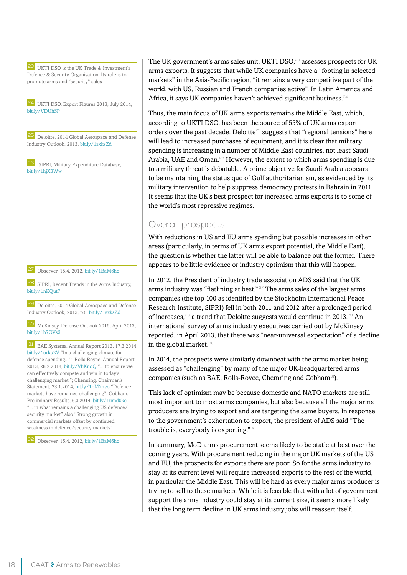23 UKTI DSO is the UK Trade & Investment's Defence & Security Organisation. Its role is to promote arms and "security" sales.

UKTI DSO, Export Figures 2013, July 2014, [bit.ly/VDUhSP](http://bit.ly/VDUhSP)

25 Deloitte, 2014 Global Aerospace and Defense Industry Outlook, 2013, [bit.ly/1sxksZd](http://bit.ly/1sxksZd)

SIPRI, Military Expenditure Database, [bit.ly/1hjX3Ww](http://bit.ly/1hjX3Ww)

27 Observer, 15.4. 2012, [bit.ly/1BaM6hc](http://bit.ly/1BaM6hc)

28 SIPRI, Recent Trends in the Arms Industry, [bit.ly/1nKQut7](http://bit.ly/1nKQut7)

29 Deloitte, 2014 Global Aerospace and Defense Industry Outlook, 2013, p.6, [bit.ly/1sxksZd](http://bit.ly/1sxksZd)

30 McKinsey, Defense Outlook 2015, April 2013, [bit.ly/1h7OVs3](http://bit.ly/1h7OVs3)

31 BAE Systems, Annual Report 2013, 17.3.2014 [bit.ly/1orku2V](http://bit.ly/1orku2V) "In a challenging climate for defence spending..."; Rolls-Royce, Annual Report 2013, 28.2.2014, [bit.ly/VhKnoQ](http://bit.ly/VhKnoQ) "... to ensure we can effectively compete and win in today's challenging market."; Chemring, Chairman's Statement, 23.1.2014, [bit.ly/1pM2hvo](http://bit.ly/1pM2hvo) "Defence markets have remained challenging"; Cobham, Preliminary Results, 6.3.2014, [bit.ly/1umd0ke](http://bit.ly/1umd0ke) "... in what remains a challenging US defence/ security market" also "Strong growth in commercial markets offset by continued weakness in defence/security markets"

32 Observer, 15.4. 2012, [bit.ly/1BaM6hc](http://bit.ly/1BaM6hc)

The UK government's arms sales unit, UKTI DSO,<sup>23</sup> assesses prospects for UK arms exports. It suggests that while UK companies have a "footing in selected markets" in the Asia-Pacific region, "it remains a very competitive part of the world, with US, Russian and French companies active". In Latin America and Africa, it says UK companies haven't achieved significant business.<sup>24</sup>

Thus, the main focus of UK arms exports remains the Middle East, which, according to UKTI DSO, has been the source of 55% of UK arms export orders over the past decade. Deloitte<sup> $25$ </sup> suggests that "regional tensions" here will lead to increased purchases of equipment, and it is clear that military spending is increasing in a number of Middle East countries, not least Saudi Arabia, UAE and Oman.<sup>26</sup> However, the extent to which arms spending is due to a military threat is debatable. A prime objective for Saudi Arabia appears to be maintaining the status quo of Gulf authoritarianism, as evidenced by its military intervention to help suppress democracy protests in Bahrain in 2011. It seems that the UK's best prospect for increased arms exports is to some of the world's most repressive regimes.

## Overall prospects

With reductions in US and EU arms spending but possible increases in other areas (particularly, in terms of UK arms export potential, the Middle East), the question is whether the latter will be able to balance out the former. There appears to be little evidence or industry optimism that this will happen.

In 2012, the President of industry trade association ADS said that the UK arms industry was "flatlining at best."  $27$  The arms sales of the largest arms companies (the top 100 as identified by the Stockholm International Peace Research Institute, SIPRI) fell in both 2011 and 2012 after a prolonged period of increases,<sup>28</sup> a trend that Deloitte suggests would continue in 2013.<sup>29</sup> An international survey of arms industry executives carried out by McKinsey reported, in April 2013, that there was "near-universal expectation" of a decline in the global market.<sup>30</sup>

In 2014, the prospects were similarly downbeat with the arms market being assessed as "challenging" by many of the major UK-headquartered arms companies (such as BAE, Rolls-Royce, Chemring and Cobham31).

This lack of optimism may be because domestic and NATO markets are still most important to most arms companies, but also because all the major arms producers are trying to export and are targeting the same buyers. In response to the government's exhortation to export, the president of ADS said "The trouble is, everybody is exporting."<sup>32</sup>

In summary, MoD arms procurement seems likely to be static at best over the coming years. With procurement reducing in the major UK markets of the US and EU, the prospects for exports there are poor. So for the arms industry to stay at its current level will require increased exports to the rest of the world, in particular the Middle East. This will be hard as every major arms producer is trying to sell to these markets. While it is feasible that with a lot of government support the arms industry could stay at its current size, it seems more likely that the long term decline in UK arms industry jobs will reassert itself.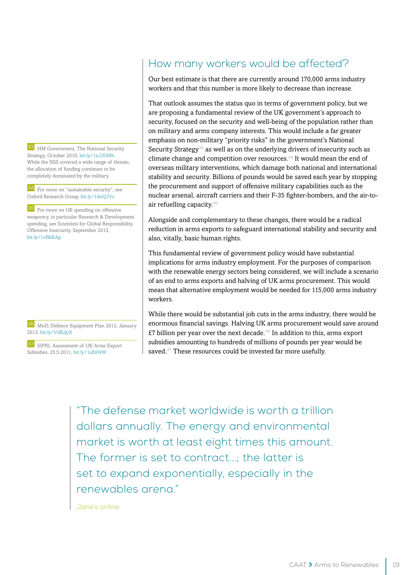33 HM Government, The National Security Strategy, October 2010, [bit.ly/1eJJDMh](http://bit.ly/1eJJDMh). While the NSS covered a wide range of threats, the allocation of funding continues to be completely dominated by the military.

34 For more on "sustainable security", see Oxford Research Group, [bit.ly/1doQJVs](http://bit.ly/1doQJVs)

35 For more on UK spending on offensive weaponry, in particular Research & Development spending, see Scientists for Global Responsibility, Offensive Insecurity, September 2013, [bit.ly/1vBkKAp](http://bit.ly/1vBkKAp)

36 MoD, Defence Equipment Plan 2012, January 2013, [bit.ly/VdKdyX](http://bit.ly/VdKdyX)

37 SIPRI, Assessment of UK Arms Export Subsidies, 25.5.2011, [bit.ly/1sBi04W](http://bit.ly/1sBi04W)

## How many workers would be affected?

Our best estimate is that there are currently around 170,000 arms industry workers and that this number is more likely to decrease than increase.

That outlook assumes the status quo in terms of government policy, but we are proposing a fundamental review of the UK government's approach to security, focused on the security and well-being of the population rather than on military and arms company interests. This would include a far greater emphasis on non-military "priority risks" in the government's National Security Strategy<sup>33</sup> as well as on the underlying drivers of insecurity such as climate change and competition over resources.<sup>34</sup> It would mean the end of overseas military interventions, which damage both national and international stability and security. Billions of pounds would be saved each year by stopping the procurement and support of offensive military capabilities such as the nuclear arsenal, aircraft carriers and their F-35 fighter-bombers, and the air-toair refuelling capacity.<sup>35</sup>

Alongside and complementary to these changes, there would be a radical reduction in arms exports to safeguard international stability and security and also, vitally, basic human rights.

This fundamental review of government policy would have substantial implications for arms industry employment. For the purposes of comparison with the renewable energy sectors being considered, we will include a scenario of an end to arms exports and halving of UK arms procurement. This would mean that alternative employment would be needed for 115,000 arms industry workers.

While there would be substantial job cuts in the arms industry, there would be enormous financial savings. Halving UK arms procurement would save around £7 billion per year over the next decade.<sup>36</sup> In addition to this, arms export subsidies amounting to hundreds of millions of pounds per year would be saved.<sup>37</sup> These resources could be invested far more usefully.

"The defense market worldwide is worth a trillion dollars annually. The energy and environmental market is worth at least eight times this amount. The former is set to contract...; the latter is set to expand exponentially, especially in the renewables arena."

Jane's online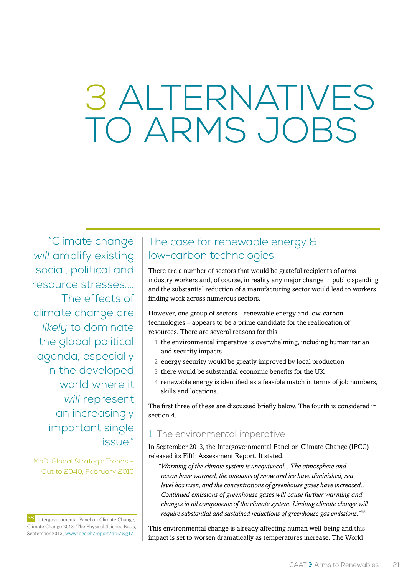3 ALTERNATIVES TO ARMS JOBS

"Climate change *will* amplify existing social, political and resource stresses.... The effects of climate change are *likely* to dominate the global political agenda, especially in the developed world where it *will* represent an increasingly important single issue."

MoD, Global Strategic Trends – Out to 2040, February 2010

Intergovernmental Panel on Climate Change, Climate Change 2013: The Physical Science Basis, September 2013, [www.ipcc.ch/report/ar5/wg1/](http://www.ipcc.ch/report/ar5/wg1/)

## The case for renewable energy & low-carbon technologies

There are a number of sectors that would be grateful recipients of arms industry workers and, of course, in reality any major change in public spending and the substantial reduction of a manufacturing sector would lead to workers finding work across numerous sectors.

However, one group of sectors – renewable energy and low-carbon technologies – appears to be a prime candidate for the reallocation of resources. There are several reasons for this:

- 1 the environmental imperative is overwhelming, including humanitarian and security impacts
- 2 energy security would be greatly improved by local production
- 3 there would be substantial economic benefits for the UK
- 4 renewable energy is identified as a feasible match in terms of job numbers, skills and locations.

The first three of these are discussed briefly below. The fourth is considered in section 4.

#### 1 The environmental imperative

In September 2013, the Intergovernmental Panel on Climate Change (IPCC) released its Fifth Assessment Report. It stated:

*"Warming of the climate system is unequivocal... The atmosphere and ocean have warmed, the amounts of snow and ice have diminished, sea level has risen, and the concentrations of greenhouse gases have increased… Continued emissions of greenhouse gases will cause further warming and changes in all components of the climate system. Limiting climate change will require substantial and sustained reductions of greenhouse gas emissions."*<sup>38</sup>

This environmental change is already affecting human well-being and this impact is set to worsen dramatically as temperatures increase. The World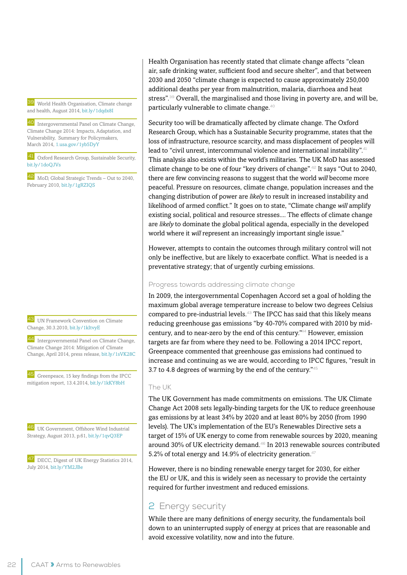39 World Health Organisation, Climate change and health, August 2014, [bit.ly/1dqdx8I](http://bit.ly/1dqdx8I)

40 Intergovernmental Panel on Climate Change, Climate Change 2014: Impacts, Adaptation, and Vulnerability, Summary for Policymakers, March 2014, [1.usa.gov/1yb5DyY](http://1.usa.gov/1yb5DyY)

Oxford Research Group, Sustainable Security, [bit.ly/1doQJVs](http://bit.ly/1doQJVs)

42 MoD, Global Strategic Trends – Out to 2040, February 2010, [bit.ly/1gRZIQS](http://bit.ly/1gRZIQS)

43 UN Framework Convention on Climate Change, 30.3.2010, [bit.ly/1kItvyE](http://bit.ly/1kItvyE)

44 Intergovernmental Panel on Climate Change, Climate Change 2014: Mitigation of Climate Change, April 2014, press release, [bit.ly/1sVK28C](http://bit.ly/1sVK28C)

45 Greenpeace, 15 key findings from the IPCC mitigation report, 13.4.2014, [bit.ly/1kKY8bH](http://bit.ly/1kKY8bH)

46 UK Government, Offshore Wind Industrial Strategy, August 2013, p.61, [bit.ly/1qvQ3EP](http://bit.ly/1qvQ3EP)

47 DECC, Digest of UK Energy Statistics 2014, July 2014, [bit.ly/YM2JBe](http://bit.ly/YM2JBe)

Health Organisation has recently stated that climate change affects "clean air, safe drinking water, sufficient food and secure shelter", and that between 2030 and 2050 "climate change is expected to cause approximately 250,000 additional deaths per year from malnutrition, malaria, diarrhoea and heat stress".39 Overall, the marginalised and those living in poverty are, and will be, particularly vulnerable to climate change.<sup>40</sup>

Security too will be dramatically affected by climate change. The Oxford Research Group, which has a Sustainable Security programme, states that the loss of infrastructure, resource scarcity, and mass displacement of peoples will lead to "civil unrest, intercommunal violence and international instability".<sup>41</sup> This analysis also exists within the world's militaries. The UK MoD has assessed climate change to be one of four "key drivers of change".42 It says "Out to 2040, there are few convincing reasons to suggest that the world *will* become more peaceful. Pressure on resources, climate change, population increases and the changing distribution of power are *likely* to result in increased instability and likelihood of armed conflict." It goes on to state, "Climate change *will* amplify existing social, political and resource stresses.... The effects of climate change are *likely* to dominate the global political agenda, especially in the developed world where it *will* represent an increasingly important single issue."

However, attempts to contain the outcomes through military control will not only be ineffective, but are likely to exacerbate conflict. What is needed is a preventative strategy; that of urgently curbing emissions.

#### Progress towards addressing climate change

In 2009, the intergovernmental Copenhagen Accord set a goal of holding the maximum global average temperature increase to below two degrees Celsius compared to pre-industrial levels. $43$  The IPCC has said that this likely means reducing greenhouse gas emissions "by 40-70% compared with 2010 by midcentury, and to near-zero by the end of this century."<sup>44</sup> However, emission targets are far from where they need to be. Following a 2014 IPCC report, Greenpeace commented that greenhouse gas emissions had continued to increase and continuing as we are would, according to IPCC figures, "result in 3.7 to 4.8 degrees of warming by the end of the century."<sup>45</sup>

#### The UK

The UK Government has made commitments on emissions. The UK Climate Change Act 2008 sets legally-binding targets for the UK to reduce greenhouse gas emissions by at least 34% by 2020 and at least 80% by 2050 (from 1990 levels). The UK's implementation of the EU's Renewables Directive sets a target of 15% of UK energy to come from renewable sources by 2020, meaning around 30% of UK electricity demand.<sup>46</sup> In 2013 renewable sources contributed 5.2% of total energy and 14.9% of electricity generation.<sup>47</sup>

However, there is no binding renewable energy target for 2030, for either the EU or UK, and this is widely seen as necessary to provide the certainty required for further investment and reduced emissions.

#### 2 Energy security

While there are many definitions of energy security, the fundamentals boil down to an uninterrupted supply of energy at prices that are reasonable and avoid excessive volatility, now and into the future.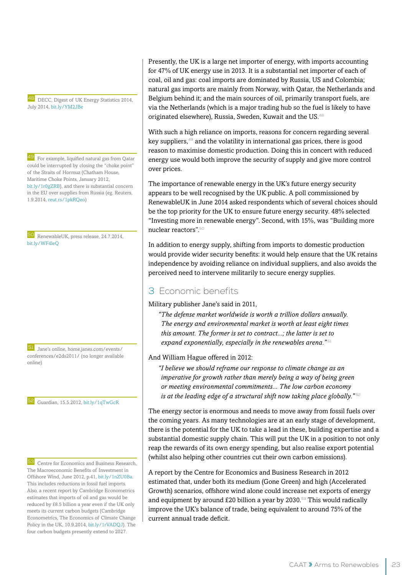48 DECC, Digest of UK Energy Statistics 2014, July 2014, [bit.ly/YM2JBe](http://bit.ly/YM2JBe)

For example, liquified natural gas from Qatar could be interrupted by closing the "choke point" of the Straits of Hormuz (Chatham House, Maritime Choke Points, January 2012, [bit.ly/1r0gZRB\)](http://bit.ly/1r0gZRB), and there is substantial concern in the EU over supplies from Russia (eg. Reuters, 1.9.2014, [reut.rs/1pkRQeo\)](http://reut.rs/1pkRQeo)

50 RenewableUK, press release, 24.7.2014, [bit.ly/WF4leQ](http://bit.ly/WF4leQ)

51 Jane's online, [home.janes.com/events/](http://home.janes.com/events/conferences/e2ds2011/) [conferences/e2ds2011/](http://home.janes.com/events/conferences/e2ds2011/) (no longer available online)

52 Guardian, 15.5.2012, [bit.ly/1qTwGcR](http://bit.ly/1qTwGcR)

53 Centre for Economics and Business Research, The Macroeconomic Benefits of Investment in Offshore Wind, June 2012, p.41, [bit.ly/1nZU0Ba.](http://bit.ly/1nZU0Ba) This includes reductions in fossil fuel imports. Also, a recent report by Cambridge Econometrics estimates that imports of oil and gas would be reduced by £8.5 billion a year even if the UK only meets its current carbon budgets (Cambridge Econometrics, The Economics of Climate Change Policy in the UK, 10.9.2014, [bit.ly/1rVADQJ\)](http://bit.ly/1rVADQJ). The four carbon budgets presently extend to 2027.

Presently, the UK is a large net importer of energy, with imports accounting for 47% of UK energy use in 2013. It is a substantial net importer of each of coal, oil and gas: coal imports are dominated by Russia, US and Colombia; natural gas imports are mainly from Norway, with Qatar, the Netherlands and Belgium behind it; and the main sources of oil, primarily transport fuels, are via the Netherlands (which is a major trading hub so the fuel is likely to have originated elsewhere), Russia, Sweden, Kuwait and the US.<sup>48</sup>

With such a high reliance on imports, reasons for concern regarding several key suppliers, $49$  and the volatility in international gas prices, there is good reason to maximise domestic production. Doing this in concert with reduced energy use would both improve the security of supply and give more control over prices.

The importance of renewable energy in the UK's future energy security appears to be well recognised by the UK public. A poll commissioned by RenewableUK in June 2014 asked respondents which of several choices should be the top priority for the UK to ensure future energy security. 48% selected "Investing more in renewable energy". Second, with 15%, was "Building more nuclear reactors".<sup>50</sup>

In addition to energy supply, shifting from imports to domestic production would provide wider security benefits: it would help ensure that the UK retains independence by avoiding reliance on individual suppliers, and also avoids the perceived need to intervene militarily to secure energy supplies.

#### 3 Economic benefits

Military publisher Jane's said in 2011,

*"The defense market worldwide is worth a trillion dollars annually. The energy and environmental market is worth at least eight times this amount. The former is set to contract...; the latter is set to expand exponentially, especially in the renewables arena."* <sup>51</sup>

#### And William Hague offered in 2012:

*"I believe we should reframe our response to climate change as an imperative for growth rather than merely being a way of being green or meeting environmental commitments... The low carbon economy is at the leading edge of a structural shift now taking place globally."*<sup>52</sup>

The energy sector is enormous and needs to move away from fossil fuels over the coming years. As many technologies are at an early stage of development, there is the potential for the UK to take a lead in these, building expertise and a substantial domestic supply chain. This will put the UK in a position to not only reap the rewards of its own energy spending, but also realise export potential (whilst also helping other countries cut their own carbon emissions).

A report by the Centre for Economics and Business Research in 2012 estimated that, under both its medium (Gone Green) and high (Accelerated Growth) scenarios, offshore wind alone could increase net exports of energy and equipment by around £20 billion a year by 2030.<sup>53</sup> This would radically improve the UK's balance of trade, being equivalent to around 75% of the current annual trade deficit.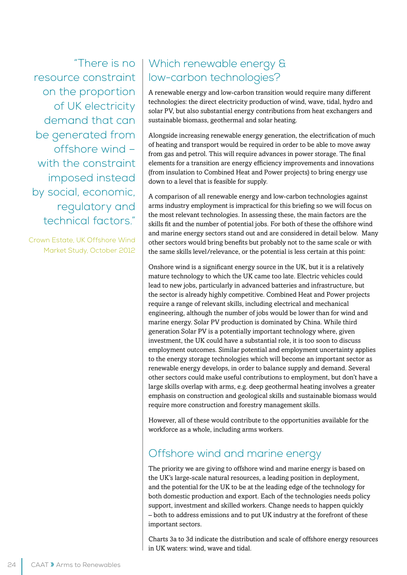"There is no resource constraint on the proportion of UK electricity demand that can be generated from offshore wind – with the constraint imposed instead by social, economic, regulatory and technical factors."

Crown Estate, UK Offshore Wind Market Study, October 2012

## Which renewable energy & low-carbon technologies?

A renewable energy and low-carbon transition would require many different technologies: the direct electricity production of wind, wave, tidal, hydro and solar PV, but also substantial energy contributions from heat exchangers and sustainable biomass, geothermal and solar heating.

Alongside increasing renewable energy generation, the electrification of much of heating and transport would be required in order to be able to move away from gas and petrol. This will require advances in power storage. The final elements for a transition are energy efficiency improvements and innovations (from insulation to Combined Heat and Power projects) to bring energy use down to a level that is feasible for supply.

A comparison of all renewable energy and low-carbon technologies against arms industry employment is impractical for this briefing so we will focus on the most relevant technologies. In assessing these, the main factors are the skills fit and the number of potential jobs. For both of these the offshore wind and marine energy sectors stand out and are considered in detail below. Many other sectors would bring benefits but probably not to the same scale or with the same skills level/relevance, or the potential is less certain at this point:

Onshore wind is a significant energy source in the UK, but it is a relatively mature technology to which the UK came too late. Electric vehicles could lead to new jobs, particularly in advanced batteries and infrastructure, but the sector is already highly competitive. Combined Heat and Power projects require a range of relevant skills, including electrical and mechanical engineering, although the number of jobs would be lower than for wind and marine energy. Solar PV production is dominated by China. While third generation Solar PV is a potentially important technology where, given investment, the UK could have a substantial role, it is too soon to discuss employment outcomes. Similar potential and employment uncertainty applies to the energy storage technologies which will become an important sector as renewable energy develops, in order to balance supply and demand. Several other sectors could make useful contributions to employment, but don't have a large skills overlap with arms, e.g. deep geothermal heating involves a greater emphasis on construction and geological skills and sustainable biomass would require more construction and forestry management skills.

However, all of these would contribute to the opportunities available for the workforce as a whole, including arms workers.

## Offshore wind and marine energy

The priority we are giving to offshore wind and marine energy is based on the UK's large-scale natural resources, a leading position in deployment, and the potential for the UK to be at the leading edge of the technology for both domestic production and export. Each of the technologies needs policy support, investment and skilled workers. Change needs to happen quickly – both to address emissions and to put UK industry at the forefront of these important sectors.

Charts 3a to 3d indicate the distribution and scale of offshore energy resources in UK waters: wind, wave and tidal.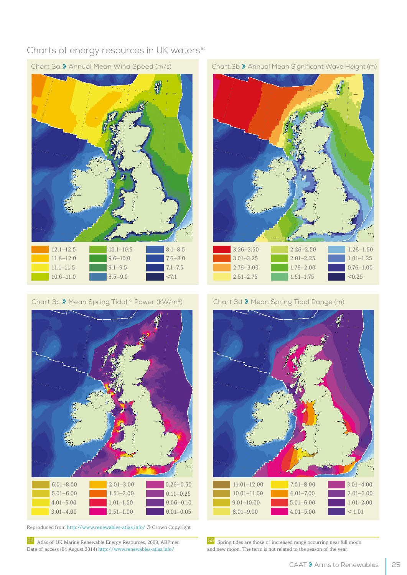## Charts of energy resources in UK waters<sup>54</sup>



| $3.26 - 3.50$ | $2.26 - 2.50$ | $1.26 - 1.50$ |
|---------------|---------------|---------------|
| $3.01 - 3.25$ | $2.01 - 2.25$ | $1.01 - 1.25$ |
| $2.76 - 3.00$ | $1.76 - 2.00$ | $0.76 - 1.00$ |
| $2.51 - 2.75$ | $1.51 - 1.75$ | < 0.25        |



55 Spring tides are those of increased range occurring near full moon and new moon. The term is not related to the season of the year.

#### Chart 3c > Mean Spring Tidal<sup>55</sup> Power (kW/m<sup>2</sup>) Chart 3d > Mean Spring Tidal Range (m)



Reproduced from<http://www.renewables-atlas.info/>© Crown Copyright

54 Atlas of UK Marine Renewable Energy Resources, 2008, ABPmer. Date of access (04 August 2014) <http://www.renewables-atlas.info/>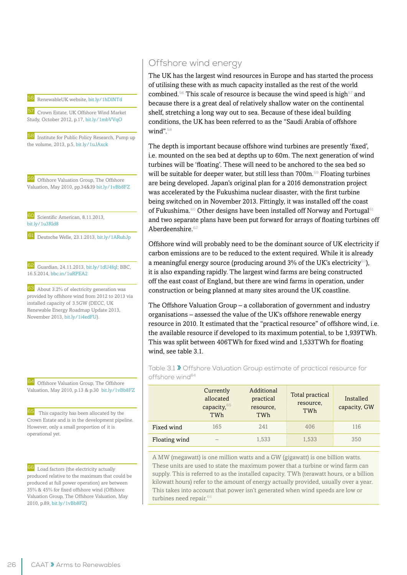56 RenewableUK website, [bit.ly/1hDlNTd](http://bit.ly/1hDlNTd)

57 Crown Estate, UK Offshore Wind Market Study, October 2012, p.17, [bit.ly/1mbVVqO](http://bit.ly/1mbVVqO)

58 Institute for Public Policy Research, Pump up the volume, 2013, p.5, [bit.ly/1uJAxck](http://bit.ly/1uJAxck)

Offshore Valuation Group, The Offshore Valuation, May 2010, pp.34&39 [bit.ly/1vBb8FZ](http://bit.ly/1vBb8FZ)

60 Scientific American, 8.11.2013, [bit.ly/1u3Rld8](http://bit.ly/1u3Rld8)

61 Deutsche Welle, 23.1.2013, [bit.ly/1ARubJp](http://bit.ly/1ARubJp)

62 Guardian, 24.11.2013, [bit.ly/1dU4fqI;](http://bit.ly/1dU4fqI) BBC, 16.5.2014, [bbc.in/1uRPEA2](http://bbc.in/1uRPEA2)

63 About 3.2% of electricity generation was provided by offshore wind from 2012 to 2013 via installed capacity of 3.5GW (DECC, UK Renewable Energy Roadmap Update 2013, November 2013, [bit.ly/1i4edFU](http://bit.ly/1i4edFU)).

64 Offshore Valuation Group, The Offshore Valuation, May 2010, p.13 & p.30 [bit.ly/1vBb8FZ](http://bit.ly/1vBb8FZ)

65 This capacity has been allocated by the Crown Estate and is in the development pipeline. However, only a small proportion of it is operational yet.

66 Load factors (the electricity actually produced relative to the maximum that could be produced at full power operation) are between 35% & 45% for fixed offshore wind (Offshore Valuation Group, The Offshore Valuation, May 2010, p.89, [bit.ly/1vBb8FZ\)](http://bit.ly/1vBb8FZ)

### Offshore wind energy

The UK has the largest wind resources in Europe and has started the process of utilising these with as much capacity installed as the rest of the world combined.<sup>56</sup> This scale of resource is because the wind speed is high<sup>57</sup> and because there is a great deal of relatively shallow water on the continental shelf, stretching a long way out to sea. Because of these ideal building conditions, the UK has been referred to as the "Saudi Arabia of offshore wind".

The depth is important because offshore wind turbines are presently 'fixed', i.e. mounted on the sea bed at depths up to 60m. The next generation of wind turbines will be 'floating'. These will need to be anchored to the sea bed so will be suitable for deeper water, but still less than 700m.<sup>59</sup> Floating turbines are being developed. Japan's original plan for a 2016 demonstration project was accelerated by the Fukushima nuclear disaster, with the first turbine being switched on in November 2013. Fittingly, it was installed off the coast of Fukushima.<sup>60</sup> Other designs have been installed off Norway and Portugal<sup>61</sup> and two separate plans have been put forward for arrays of floating turbines off Aberdeenshire.<sup>62</sup>

Offshore wind will probably need to be the dominant source of UK electricity if carbon emissions are to be reduced to the extent required. While it is already a meaningful energy source (producing around  $3\%$  of the UK's electricity<sup>63</sup>), it is also expanding rapidly. The largest wind farms are being constructed off the east coast of England, but there are wind farms in operation, under construction or being planned at many sites around the UK coastline.

The Offshore Valuation Group – a collaboration of government and industry organisations – assessed the value of the UK's offshore renewable energy resource in 2010. It estimated that the "practical resource" of offshore wind, i.e. the available resource if developed to its maximum potential, to be 1,939TWh. This was split between 406TWh for fixed wind and 1,533TWh for floating wind, see table 3.1.

Table 3.1 » Offshore Valuation Group estimate of practical resource for offshore wind<sup>64</sup>

|               | Currently<br>allocated<br>capacity, <sup>65</sup><br>TWh | Additional<br>practical<br>resource,<br>TWh | Total practical<br>resource,<br>TWh | Installed<br>capacity, GW |
|---------------|----------------------------------------------------------|---------------------------------------------|-------------------------------------|---------------------------|
| Fixed wind    | 165                                                      | 2.41                                        | 406                                 | 116                       |
| Floating wind |                                                          | 1,533                                       | 1,533                               | 350                       |

A MW (megawatt) is one million watts and a GW (gigawatt) is one billion watts. These units are used to state the maximum power that a turbine or wind farm can supply. This is referred to as the installed capacity. TWh (terawatt hours, or a billion kilowatt hours) refer to the amount of energy actually provided, usually over a year. This takes into account that power isn't generated when wind speeds are low or turbines need repair.<sup>66</sup>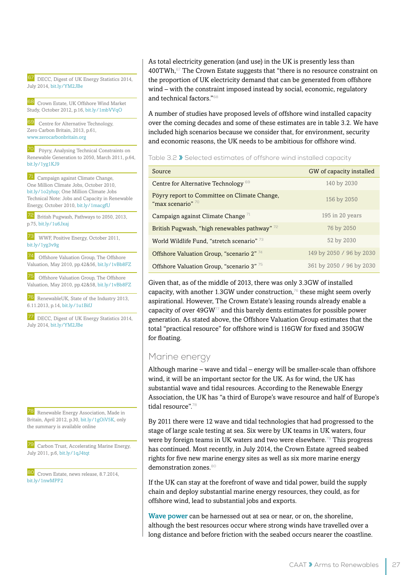67 DECC, Digest of UK Energy Statistics 2014, July 2014, [bit.ly/YM2JBe](http://bit.ly/YM2JBe)

68 Crown Estate, UK Offshore Wind Market Study, October 2012, p.16, [bit.ly/1mbVVqO](http://bit.ly/1mbVVqO)

69 Centre for Alternative Technology, Zero Carbon Britain, 2013, p.61, [www.zerocarbonbritain.org](http://www.zerocarbonbritain.org)

70 Pöyry, Analysing Technical Constraints on Renewable Generation to 2050, March 2011, p.64, [bit.ly/1yg1KJ9](http://bit.ly/1yg1KJ9)

71 Campaign against Climate Change, One Million Climate Jobs, October 2010, [bit.ly/1o2yhsp](http://bit.ly/1o2yhsp); One Million Climate Jobs Technical Note: Jobs and Capacity in Renewable Energy, October 2010, [bit.ly/1macgfU](http://bit.ly/1macgfU)

72 British Pugwash, Pathways to 2050, 2013, p.75, [bit.ly/1u6Jxaj](http://bit.ly/1u6Jxaj)

73 WWF, Positive Energy, October 2011, [bit.ly/1yg3v9g](http://bit.ly/1yg3v9g)

Offshore Valuation Group, The Offshore Valuation, May 2010, pp.42&56, [bit.ly/1vBb8FZ](http://bit.ly/1vBb8FZ)

75 Offshore Valuation Group, The Offshore Valuation, May 2010, pp.42&58, [bit.ly/1vBb8FZ](http://bit.ly/1vBb8FZ)

76 RenewableUK, State of the Industry 2013, 6.11.2013, p.14, [bit.ly/1u1BifJ](http://bit.ly/1u1BifJ)

77 DECC, Digest of UK Energy Statistics 2014, July 2014, [bit.ly/YM2JBe](http://bit.ly/YM2JBe)

78 Renewable Energy Association, Made in Britain, April 2012, p.30, [bit.ly/1gOiV5K](http://bit.ly/1gOiV5K), only the summary is available online

79 Carbon Trust, Accelerating Marine Energy, July 2011, p.6, [bit.ly/1qJ4tqt](http://bit.ly/1qJ4tqt)

80 Crown Estate, news release, 8.7.2014, [bit.ly/1nwMPP2](http://bit.ly/1nwMPP2)

As total electricity generation (and use) in the UK is presently less than  $400$ TWh,<sup>67</sup> The Crown Estate suggests that "there is no resource constraint on the proportion of UK electricity demand that can be generated from offshore wind – with the constraint imposed instead by social, economic, regulatory and technical factors."<sup>68</sup>

A number of studies have proposed levels of offshore wind installed capacity over the coming decades and some of these estimates are in table 3.2. We have included high scenarios because we consider that, for environment, security and economic reasons, the UK needs to be ambitious for offshore wind.

Table 3.2 » Selected estimates of offshore wind installed capacity

| Source                                                              | GW of capacity installed |
|---------------------------------------------------------------------|--------------------------|
| Centre for Alternative Technology <sup>69</sup>                     | 140 by 2030              |
| Pöyry report to Committee on Climate Change,<br>"max scenario" $70$ | 156 by 2050              |
| Campaign against Climate Change <sup>71</sup>                       | 195 in 20 years          |
| British Pugwash, "high renewables pathway" 72                       | 76 by 2050               |
| World Wildlife Fund, "stretch scenario" 73                          | 52 by 2030               |
| Offshore Valuation Group, "scenario 2" 74                           | 149 by 2050 / 96 by 2030 |
| Offshore Valuation Group, "scenario 3" 75                           | 361 by 2050 / 96 by 2030 |

Given that, as of the middle of 2013, there was only 3.3GW of installed capacity, with another 1.3GW under construction, $76$  these might seem overly aspirational. However, The Crown Estate's leasing rounds already enable a capacity of over 49GW77 and this barely dents estimates for possible power generation. As stated above, the Offshore Valuation Group estimates that the total "practical resource" for offshore wind is 116GW for fixed and 350GW for floating.

#### Marine energy

Although marine – wave and tidal – energy will be smaller-scale than offshore wind, it will be an important sector for the UK. As for wind, the UK has substantial wave and tidal resources. According to the Renewable Energy Association, the UK has "a third of Europe's wave resource and half of Europe's tidal resource".<sup>78</sup>

By 2011 there were 12 wave and tidal technologies that had progressed to the stage of large scale testing at sea. Six were by UK teams in UK waters, four were by foreign teams in UK waters and two were elsewhere.<sup>79</sup> This progress has continued. Most recently, in July 2014, the Crown Estate agreed seabed rights for five new marine energy sites as well as six more marine energy demonstration zones. $80$ 

If the UK can stay at the forefront of wave and tidal power, build the supply chain and deploy substantial marine energy resources, they could, as for offshore wind, lead to substantial jobs and exports.

Wave power can be harnessed out at sea or near, or on, the shoreline, although the best resources occur where strong winds have travelled over a long distance and before friction with the seabed occurs nearer the coastline.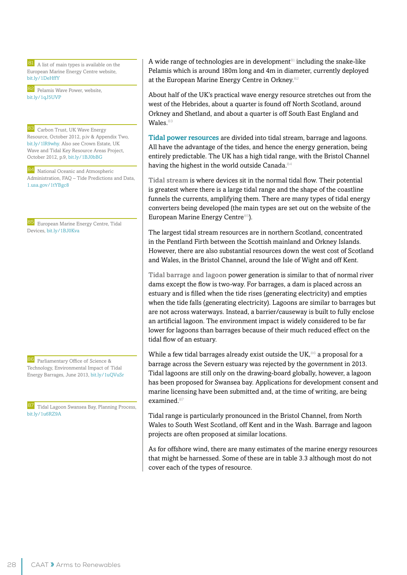81 A list of main types is available on the European Marine Energy Centre website, [bit.ly/1DeHffY](http://bit.ly/1DeHffY)

82 Pelamis Wave Power, website, [bit.ly/1qJ5UVP](http://bit.ly/1qJ5UVP)

83 Carbon Trust, UK Wave Energy Resource, October 2012, p.iv & Appendix Two, [bit.ly/1lR9why](http://bit.ly/1lR9why). Also see Crown Estate, UK Wave and Tidal Key Resource Areas Project, October 2012, p.9, [bit.ly/1BJ0bBG](http://bit.ly/1BJ0bBG)

84 National Oceanic and Atmospheric Administration, FAQ – Tide Predictions and Data, [1.usa.gov/1tYBgc8](http://1.usa.gov/1tYBgc8)

85 European Marine Energy Centre, Tidal Devices, [bit.ly/1BJ0Kva](http://bit.ly/1BJ0Kva)

86 Parliamentary Office of Science & Technology, Environmental Impact of Tidal Energy Barrages, June 2013, [bit.ly/1uQVuSr](http://bit.ly/1uQVuSr)

87 Tidal Lagoon Swansea Bay, Planning Process, [bit.ly/1u6RZ9A](http://bit.ly/1u6RZ9A)

A wide range of technologies are in development $\mathbb{B}^1$  including the snake-like Pelamis which is around 180m long and 4m in diameter, currently deployed at the European Marine Energy Centre in Orkney.<sup>82</sup>

About half of the UK's practical wave energy resource stretches out from the west of the Hebrides, about a quarter is found off North Scotland, around Orkney and Shetland, and about a quarter is off South East England and Wales.<sup>83</sup>

Tidal power resources are divided into tidal stream, barrage and lagoons. All have the advantage of the tides, and hence the energy generation, being entirely predictable. The UK has a high tidal range, with the Bristol Channel having the highest in the world outside Canada.<sup>84</sup>

Tidal stream is where devices sit in the normal tidal flow. Their potential is greatest where there is a large tidal range and the shape of the coastline funnels the currents, amplifying them. There are many types of tidal energy converters being developed (the main types are set out on the website of the European Marine Energy Centre<sup>85</sup>).

The largest tidal stream resources are in northern Scotland, concentrated in the Pentland Firth between the Scottish mainland and Orkney Islands. However, there are also substantial resources down the west cost of Scotland and Wales, in the Bristol Channel, around the Isle of Wight and off Kent.

Tidal barrage and lagoon power generation is similar to that of normal river dams except the flow is two-way. For barrages, a dam is placed across an estuary and is filled when the tide rises (generating electricity) and empties when the tide falls (generating electricity). Lagoons are similar to barrages but are not across waterways. Instead, a barrier/causeway is built to fully enclose an artificial lagoon. The environment impact is widely considered to be far lower for lagoons than barrages because of their much reduced effect on the tidal flow of an estuary.

While a few tidal barrages already exist outside the UK, $86$  a proposal for a barrage across the Severn estuary was rejected by the government in 2013. Tidal lagoons are still only on the drawing-board globally, however, a lagoon has been proposed for Swansea bay. Applications for development consent and marine licensing have been submitted and, at the time of writing, are being examined.<sup>87</sup>

Tidal range is particularly pronounced in the Bristol Channel, from North Wales to South West Scotland, off Kent and in the Wash. Barrage and lagoon projects are often proposed at similar locations.

As for offshore wind, there are many estimates of the marine energy resources that might be harnessed. Some of these are in table 3.3 although most do not cover each of the types of resource.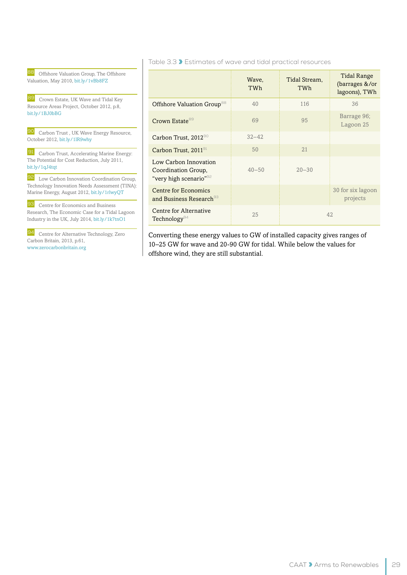88 Offshore Valuation Group, The Offshore Valuation, May 2010, [bit.ly/1vBb8FZ](http://bit.ly/1vBb8FZ)

89 Crown Estate, UK Wave and Tidal Key Resource Areas Project, October 2012, p.8, [bit.ly/1BJ0bBG](http://bit.ly/1BJ0bBG)

90 Carbon Trust , UK Wave Energy Resource, October 2012, [bit.ly/1lR9why](http://bit.ly/1lR9why)

91 Carbon Trust, Accelerating Marine Energy: The Potential for Cost Reduction, July 2011, [bit.ly/1qJ4tqt](http://bit.ly/1qJ4tqt)

92 Low Carbon Innovation Coordination Group, Technology Innovation Needs Assessment (TINA): Marine Energy, August 2012, [bit.ly/1rlwyQT](http://bit.ly/1rlwyQT)

93 Centre for Economics and Business Research, The Economic Case for a Tidal Lagoon Industry in the UK, July 2014, [bit.ly/1k7tnO1](http://bit.ly/1k7tnO1)

94 Centre for Alternative Technology, Zero Carbon Britain, 2013, p.61, [www.zerocarbonbritain.org](http://www.zerocarbonbritain.org)

|                                                                                    | Wave,<br>TWh | Tidal Stream,<br>TWh | <b>Tidal Range</b><br>(barrages $&\sqrt{or}$<br>lagoons), TWh |
|------------------------------------------------------------------------------------|--------------|----------------------|---------------------------------------------------------------|
| Offshore Valuation Group <sup>88</sup>                                             | 40           | 116                  | 36                                                            |
| Crown Estate <sup>89</sup>                                                         | 69           | 95                   | Barrage 96;<br>Lagoon 25                                      |
| Carbon Trust, 2012 <sup>90</sup>                                                   | $32 - 42$    |                      |                                                               |
| Carbon Trust, $201191$                                                             | 50           | 21                   |                                                               |
| Low Carbon Innovation<br>Coordination Group,<br>"very high scenario" <sup>92</sup> | $40 - 50$    | $20 - 30$            |                                                               |
| <b>Centre for Economics</b><br>and Business Research <sup>93</sup>                 |              |                      | 30 for six lagoon<br>projects                                 |
| Centre for Alternative<br>42<br>25<br>Technology <sup>94</sup>                     |              |                      |                                                               |

Table 3.3 » Estimates of wave and tidal practical resources

Converting these energy values to GW of installed capacity gives ranges of 10–25 GW for wave and 20-90 GW for tidal. While below the values for offshore wind, they are still substantial.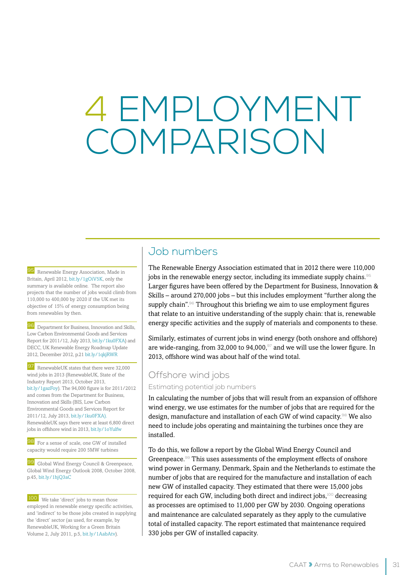## 4 EMPLOYMENT COMPARISON

95 Renewable Energy Association, Made in Britain, April 2012, [bit.ly/1gOiV5K](http://bit.ly/1gOiV5K), only the summary is available online. The report also projects that the number of jobs would climb from 110,000 to 400,000 by 2020 if the UK met its objective of 15% of energy consumption being from renewables by then.

96 Department for Business, Innovation and Skills, Low Carbon Environmental Goods and Services Report for 2011/12, July 2013, [bit.ly/1ku0FXA\)](http://bit.ly/1ku0FXA) and DECC, UK Renewable Energy Roadmap Update 2012, December 2012, p.21 [bit.ly/1qkjRWR](http://bit.ly/1qkjRWR)

97 RenewableUK states that there were 32,000 wind jobs in 2013 (RenewableUK, State of the Industry Report 2013, October 2013, [bit.ly/1gazFoy\)](http://bit.ly/1gazFoy). The 94,000 figure is for 2011/2012 and comes from the Department for Business, Innovation and Skills (BIS, Low Carbon Environmental Goods and Services Report for 2011/12, July 2013, [bit.ly/1ku0FXA\)](http://bit.ly/1ku0FXA). RenewableUK says there were at least 6,800 direct jobs in offshore wind in 2013, [bit.ly/1oYulfw](http://bit.ly/1oYulfw)

98 For a sense of scale, one GW of installed capacity would require 200 5MW turbines

99 Global Wind Energy Council & Greenpeace, Global Wind Energy Outlook 2008, October 2008, p.45, [bit.ly/1hjQ3aC](http://bit.ly/1hjQ3aC)

100 We take 'direct' jobs to mean those employed in renewable energy specific activities, and 'indirect' to be those jobs created in supplying the 'direct' sector (as used, for example, by RenewableUK, Working for a Green Britain Volume 2, July 2011, p.5, [bit.ly/1AabAtv\)](http://bit.ly/1AabAtv).

## Job numbers

The Renewable Energy Association estimated that in 2012 there were 110,000 jobs in the renewable energy sector, including its immediate supply chains.<sup>95</sup> Larger figures have been offered by the Department for Business, Innovation & Skills – around 270,000 jobs – but this includes employment "further along the supply chain".<sup>96</sup> Throughout this briefing we aim to use employment figures that relate to an intuitive understanding of the supply chain: that is, renewable energy specific activities and the supply of materials and components to these.

Similarly, estimates of current jobs in wind energy (both onshore and offshore) are wide-ranging, from 32,000 to 94,000, $\frac{97}{2}$  and we will use the lower figure. In 2013, offshore wind was about half of the wind total.

### Offshore wind jobs

Estimating potential job numbers

In calculating the number of jobs that will result from an expansion of offshore wind energy, we use estimates for the number of jobs that are required for the design, manufacture and installation of each GW of wind capacity.<sup>98</sup> We also need to include jobs operating and maintaining the turbines once they are installed.

To do this, we follow a report by the Global Wind Energy Council and Greenpeace.<sup>99</sup> This uses assessments of the employment effects of onshore wind power in Germany, Denmark, Spain and the Netherlands to estimate the number of jobs that are required for the manufacture and installation of each new GW of installed capacity. They estimated that there were 15,000 jobs required for each GW, including both direct and indirect jobs,<sup>100</sup> decreasing as processes are optimised to 11,000 per GW by 2030. Ongoing operations and maintenance are calculated separately as they apply to the cumulative total of installed capacity. The report estimated that maintenance required 330 jobs per GW of installed capacity.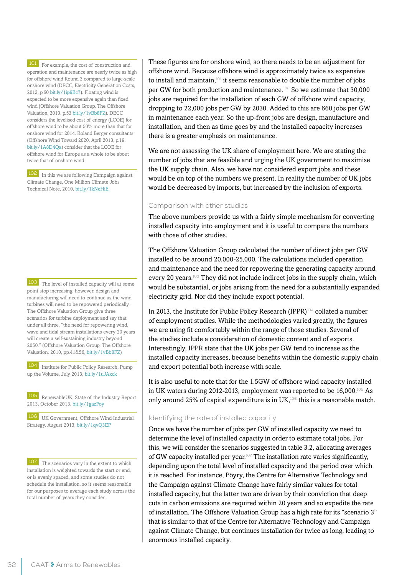101 For example, the cost of construction and operation and maintenance are nearly twice as high for offshore wind Round 3 compared to large-scale onshore wind (DECC, Electricity Generation Costs, 2013, p.60 [bit.ly/1ip9Bc7\)](http://bit.ly/1ip9Bc7). Floating wind is expected to be more expensive again than fixed wind (Offshore Valuation Group, The Offshore Valuation, 2010, p.53 [bit.ly/1vBb8FZ](http://bit.ly/1vBb8FZ)). DECC considers the levelised cost of energy (LCOE) for offshore wind to be about 50% more than that for onshore wind for 2014. Roland Berger consultants (Offshore Wind Toward 2020, April 2013, p.19, [bit.ly/1A8D4Qa\)](http://bit.ly/1A8D4Qa) consider that the LCOE for offshore wind for Europe as a whole to be about twice that of onshore wind.

102 In this we are following Campaign against Climate Change, One Million Climate Jobs Technical Note, 2010, [bit.ly/1kNeHiE](http://bit.ly/1kNeHiE)

103 The level of installed capacity will at some point stop increasing, however, design and manufacturing will need to continue as the wind turbines will need to be repowered periodically. The Offshore Valuation Group give three scenarios for turbine deployment and say that under all three, "the need for repowering wind, wave and tidal stream installations every 20 years will create a self-sustaining industry beyond 2050." (Offshore Valuation Group, The Offshore Valuation, 2010, pp.41&56, [bit.ly/1vBb8FZ](http://bit.ly/1vBb8FZ))

104 Institute for Public Policy Research, Pump up the Volume, July 2013, [bit.ly/1uJAxck](http://bit.ly/1uJAxck)

105 RenewableUK, State of the Industry Report 2013, October 2013, [bit.ly/1gazFoy](http://bit.ly/1gazFoy)

106 UK Government, Offshore Wind Industrial Strategy, August 2013, [bit.ly/1qvQ3EP](http://bit.ly/1qvQ3EP)

The scenarios vary in the extent to which installation is weighted towards the start or end, or is evenly spaced, and some studies do not schedule the installation, so it seems reasonable for our purposes to average each study across the total number of years they consider.

These figures are for onshore wind, so there needs to be an adjustment for offshore wind. Because offshore wind is approximately twice as expensive to install and maintain,<sup>101</sup> it seems reasonable to double the number of jobs per GW for both production and maintenance.102 So we estimate that 30,000 jobs are required for the installation of each GW of offshore wind capacity, dropping to 22,000 jobs per GW by 2030. Added to this are 660 jobs per GW in maintenance each year. So the up-front jobs are design, manufacture and installation, and then as time goes by and the installed capacity increases there is a greater emphasis on maintenance.

We are not assessing the UK share of employment here. We are stating the number of jobs that are feasible and urging the UK government to maximise the UK supply chain. Also, we have not considered export jobs and these would be on top of the numbers we present. In reality the number of UK jobs would be decreased by imports, but increased by the inclusion of exports.

#### Comparison with other studies

The above numbers provide us with a fairly simple mechanism for converting installed capacity into employment and it is useful to compare the numbers with those of other studies.

The Offshore Valuation Group calculated the number of direct jobs per GW installed to be around 20,000-25,000. The calculations included operation and maintenance and the need for repowering the generating capacity around every 20 years. $103$  They did not include indirect jobs in the supply chain, which would be substantial, or jobs arising from the need for a substantially expanded electricity grid. Nor did they include export potential.

In 2013, the Institute for Public Policy Research (IPPR)<sup>104</sup> collated a number of employment studies. While the methodologies varied greatly, the figures we are using fit comfortably within the range of those studies. Several of the studies include a consideration of domestic content and of exports. Interestingly, IPPR state that the UK jobs per GW tend to increase as the installed capacity increases, because benefits within the domestic supply chain and export potential both increase with scale.

It is also useful to note that for the 1.5GW of offshore wind capacity installed in UK waters during 2012-2013, employment was reported to be 16,000.<sup>105</sup> As only around 25% of capital expenditure is in UK,<sup>106</sup> this is a reasonable match.

#### Identifying the rate of installed capacity

Once we have the number of jobs per GW of installed capacity we need to determine the level of installed capacity in order to estimate total jobs. For this, we will consider the scenarios suggested in table 3.2, allocating averages of GW capacity installed per year.<sup>107</sup> The installation rate varies significantly, depending upon the total level of installed capacity and the period over which it is reached. For instance, Pöyry, the Centre for Alternative Technology and the Campaign against Climate Change have fairly similar values for total installed capacity, but the latter two are driven by their conviction that deep cuts in carbon emissions are required within 20 years and so expedite the rate of installation. The Offshore Valuation Group has a high rate for its "scenario 3" that is similar to that of the Centre for Alternative Technology and Campaign against Climate Change, but continues installation for twice as long, leading to enormous installed capacity.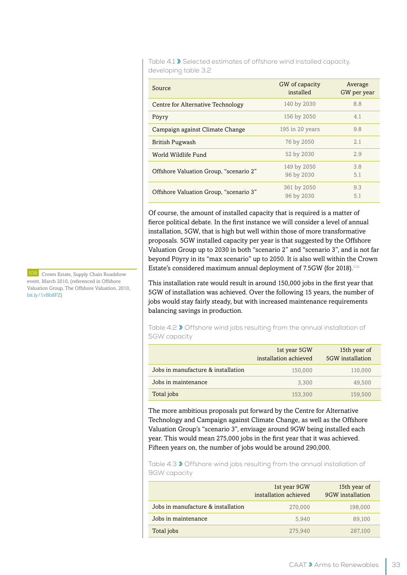Table 4.1 » Selected estimates of offshore wind installed capacity, developing table 3.2

| Source                                 | GW of capacity<br>installed | Average<br>GW per year |
|----------------------------------------|-----------------------------|------------------------|
| Centre for Alternative Technology      | 140 by 2030                 | 8.8                    |
| Pöyry                                  | 156 by 2050                 | 4.1                    |
| Campaign against Climate Change        | $195$ in 20 years           | 9.8                    |
| British Pugwash                        | 76 by 2050                  | 2.1                    |
| World Wildlife Fund                    | 52 by 2030                  | 2.9                    |
| Offshore Valuation Group, "scenario 2" | 149 by 2050<br>96 by 2030   | 3.8<br>5.1             |
| Offshore Valuation Group, "scenario 3" | 361 by 2050<br>96 by 2030   | 9.3<br>5.1             |

Of course, the amount of installed capacity that is required is a matter of fierce political debate. In the first instance we will consider a level of annual installation, 5GW, that is high but well within those of more transformative proposals. 5GW installed capacity per year is that suggested by the Offshore Valuation Group up to 2030 in both "scenario 2" and "scenario 3", and is not far beyond Pöyry in its "max scenario" up to 2050. It is also well within the Crown Estate's considered maximum annual deployment of 7.5GW (for 2018).<sup>108</sup>

This installation rate would result in around 150,000 jobs in the first year that 5GW of installation was achieved. Over the following 15 years, the number of jobs would stay fairly steady, but with increased maintenance requirements balancing savings in production.

Table 4.2 » Offshore wind jobs resulting from the annual installation of 5GW capacity

|                                    | 1st year 5GW<br>installation achieved | 15th year of<br>5GW installation |
|------------------------------------|---------------------------------------|----------------------------------|
| Jobs in manufacture & installation | 150,000                               | 110,000                          |
| Jobs in maintenance                | 3,300                                 | 49,500                           |
| Total jobs                         | 153,300                               | 159,500                          |

The more ambitious proposals put forward by the Centre for Alternative Technology and Campaign against Climate Change, as well as the Offshore Valuation Group's "scenario 3", envisage around 9GW being installed each year. This would mean 275,000 jobs in the first year that it was achieved. Fifteen years on, the number of jobs would be around 290,000.

Table 4.3 » Offshore wind jobs resulting from the annual installation of 9GW capacity

|                                    | 1st year 9GW<br>installation achieved | 15th year of<br>9GW installation |
|------------------------------------|---------------------------------------|----------------------------------|
| Jobs in manufacture & installation | 270,000                               | 198,000                          |
| Jobs in maintenance                | 5.940                                 | 89,100                           |
| Total jobs                         | 275,940                               | 287,100                          |

108 Crown Estate, Supply Chain Roadshow event, March 2010, (referenced in Offshore Valuation Group, The Offshore Valuation, 2010, [bit.ly/1vBb8FZ\)](http://bit.ly/1vBb8FZ)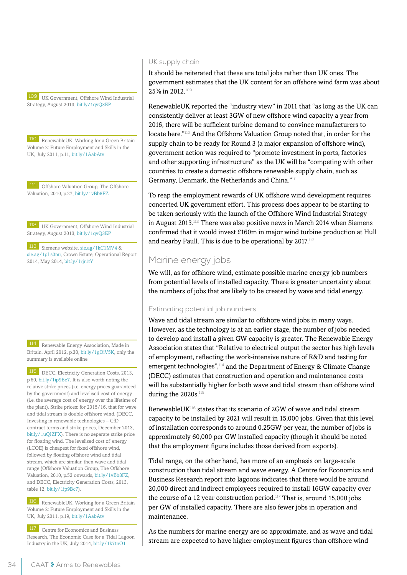109 UK Government, Offshore Wind Industrial Strategy, August 2013, [bit.ly/1qvQ3EP](http://bit.ly/1qvQ3EP)

110 RenewableUK, Working for a Green Britain Volume 2: Future Employment and Skills in the UK, July 2011, p.11, [bit.ly/1AabAtv](http://bit.ly/1AabAtv)

111 Offshore Valuation Group, The Offshore Valuation, 2010, p.27, [bit.ly/1vBb8FZ](http://bit.ly/1vBb8FZ)

UK Government, Offshore Wind Industrial Strategy, August 2013, [bit.ly/1qvQ3EP](http://bit.ly/1qvQ3EP)

113 Siemens website, [sie.ag/1kC1MV4](http://sie.ag/1kC1MV4) & [sie.ag/1pLs0nu,](http://sie.ag/1pLs0nu) Crown Estate, Operational Report 2014, May 2014, [bit.ly/1rjr1tY](http://bit.ly/1rjr1tY)

114 Renewable Energy Association, Made in Britain, April 2012, p.30, [bit.ly/1gOiV5K](http://bit.ly/1gOiV5K), only the summary is available online

115 DECC, Electricity Generation Costs, 2013, p.60, [bit.ly/1ip9Bc7](http://bit.ly/1ip9Bc7). It is also worth noting the relative strike prices (i.e. energy prices guaranteed by the government) and levelised cost of energy (i.e. the average cost of energy over the lifetime of the plant). Strike prices: for 2015/16, that for wave and tidal stream is double offshore wind. (DECC, Investing in renewable technologies – CfD contract terms and strike prices, December 2013, [bit.ly/1uQIZFX](http://bit.ly/1uQIZFX)). There is no separate strike price for floating wind. The levelised cost of energy (LCOE) is cheapest for fixed offshore wind, followed by floating offshore wind and tidal stream, which are similar, then wave and tidal range (Offshore Valuation Group, The Offshore Valuation, 2010, p.53 onwards, [bit.ly/1vBb8FZ,](http://bit.ly/1vBb8FZ) and DECC, Electricity Generation Costs, 2013, table 12, [bit.ly/1ip9Bc7](http://bit.ly/1ip9Bc7)).

116 RenewableUK, Working for a Green Britain Volume 2: Future Employment and Skills in the UK, July 2011, p.19, [bit.ly/1AabAtv](http://bit.ly/1AabAtv)

**117** Centre for Economics and Business Research, The Economic Case for a Tidal Lagoon Industry in the UK, July 2014, [bit.ly/1k7tnO1](http://bit.ly/1k7tnO1)

#### UK supply chain

It should be reiterated that these are total jobs rather than UK ones. The government estimates that the UK content for an offshore wind farm was about 25% in 2012.109

RenewableUK reported the "industry view" in 2011 that "as long as the UK can consistently deliver at least 3GW of new offshore wind capacity a year from 2016, there will be sufficient turbine demand to convince manufacturers to locate here."110 And the Offshore Valuation Group noted that, in order for the supply chain to be ready for Round 3 (a major expansion of offshore wind), government action was required to "promote investment in ports, factories and other supporting infrastructure" as the UK will be "competing with other countries to create a domestic offshore renewable supply chain, such as Germany, Denmark, the Netherlands and China."<sup>111</sup>

To reap the employment rewards of UK offshore wind development requires concerted UK government effort. This process does appear to be starting to be taken seriously with the launch of the Offshore Wind Industrial Strategy in August 2013.<sup>112</sup> There was also positive news in March 2014 when Siemens confirmed that it would invest £160m in major wind turbine production at Hull and nearby Paull. This is due to be operational by 2017.<sup>113</sup>

### Marine energy jobs

We will, as for offshore wind, estimate possible marine energy job numbers from potential levels of installed capacity. There is greater uncertainty about the numbers of jobs that are likely to be created by wave and tidal energy.

#### Estimating potential job numbers

Wave and tidal stream are similar to offshore wind jobs in many ways. However, as the technology is at an earlier stage, the number of jobs needed to develop and install a given GW capacity is greater. The Renewable Energy Association states that "Relative to electrical output the sector has high levels of employment, reflecting the work-intensive nature of R&D and testing for emergent technologies",<sup>114</sup> and the Department of Energy & Climate Change (DECC) estimates that construction and operation and maintenance costs will be substantially higher for both wave and tidal stream than offshore wind during the 2020s.<sup>115</sup>

RenewableUK<sup>116</sup> states that its scenario of 2GW of wave and tidal stream capacity to be installed by 2021 will result in 15,000 jobs. Given that this level of installation corresponds to around 0.25GW per year, the number of jobs is approximately 60,000 per GW installed capacity (though it should be noted that the employment figure includes those derived from exports).

Tidal range, on the other hand, has more of an emphasis on large-scale construction than tidal stream and wave energy. A Centre for Economics and Business Research report into lagoons indicates that there would be around 20,000 direct and indirect employees required to install 16GW capacity over the course of a 12 year construction period.<sup>117</sup> That is, around 15,000 jobs per GW of installed capacity. There are also fewer jobs in operation and maintenance.

As the numbers for marine energy are so approximate, and as wave and tidal stream are expected to have higher employment figures than offshore wind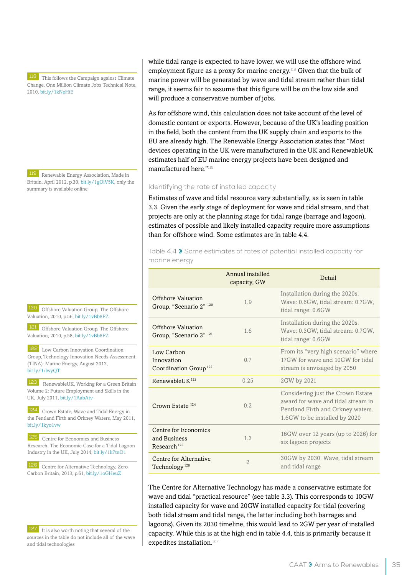118 This follows the Campaign against Climate Change, One Million Climate Jobs Technical Note, 2010, [bit.ly/1kNeHiE](http://bit.ly/1kNeHiE)

119 Renewable Energy Association, Made in Britain, April 2012, p.30, [bit.ly/1gOiV5K](http://bit.ly/1gOiV5K), only the summary is available online

120 Offshore Valuation Group, The Offshore Valuation, 2010, p.56, [bit.ly/1vBb8FZ](http://bit.ly/1vBb8FZ)

121 Offshore Valuation Group, The Offshore Valuation, 2010, p.58, [bit.ly/1vBb8FZ](http://bit.ly/1vBb8FZ) 

122 Low Carbon Innovation Coordination Group, Technology Innovation Needs Assessment (TINA): Marine Energy, August 2012, [bit.ly/1rlwyQT](http://bit.ly/1rlwyQT)

123 RenewableUK, Working for a Green Britain Volume 2: Future Employment and Skills in the UK, July 2011, [bit.ly/1AabAtv](http://bit.ly/1AabAtv)

124 Crown Estate, Wave and Tidal Energy in the Pentland Firth and Orkney Waters, May 2011, [bit.ly/1kyo1vw](http://bit.ly/1kyo1vw)

125 Centre for Economics and Business Research, The Economic Case for a Tidal Lagoon Industry in the UK, July 2014, [bit.ly/1k7tnO1](http://bit.ly/1k7tnO1)

126 Centre for Alternative Technology, Zero Carbon Britain, 2013, p.61, [bit.ly/1oGHeuZ](http://bit.ly/1oGHeuZ)

127 It is also worth noting that several of the sources in the table do not include all of the wave and tidal technologies

while tidal range is expected to have lower, we will use the offshore wind employment figure as a proxy for marine energy.<sup>118</sup> Given that the bulk of marine power will be generated by wave and tidal stream rather than tidal range, it seems fair to assume that this figure will be on the low side and will produce a conservative number of jobs.

As for offshore wind, this calculation does not take account of the level of domestic content or exports. However, because of the UK's leading position in the field, both the content from the UK supply chain and exports to the EU are already high. The Renewable Energy Association states that "Most devices operating in the UK were manufactured in the UK and RenewableUK estimates half of EU marine energy projects have been designed and manufactured here."<sup>119</sup>

#### Identifying the rate of installed capacity

Estimates of wave and tidal resource vary substantially, as is seen in table 3.3. Given the early stage of deployment for wave and tidal stream, and that projects are only at the planning stage for tidal range (barrage and lagoon), estimates of possible and likely installed capacity require more assumptions than for offshore wind. Some estimates are in table 4.4.

#### Table 4.4 » Some estimates of rates of potential installed capacity for marine energy

| ، ب                                                             |                                  |                                                                                                                                               |  |
|-----------------------------------------------------------------|----------------------------------|-----------------------------------------------------------------------------------------------------------------------------------------------|--|
|                                                                 | Annual installed<br>capacity, GW | Detail                                                                                                                                        |  |
| Offshore Valuation<br>Group, "Scenario 2" 120                   | 1.9                              | Installation during the 2020s.<br>Wave: 0.6GW, tidal stream: 0.7GW,<br>tidal range: 0.6GW                                                     |  |
| Offshore Valuation<br>Group, "Scenario 3" 121                   | 1.6                              | Installation during the 2020s.<br>Wave: 0.3GW, tidal stream: 0.7GW,<br>tidal range: 0.6GW                                                     |  |
| Low Carbon<br>Innovation<br>Coordination Group <sup>122</sup>   | 0.7                              | From its "very high scenario" where<br>17GW for wave and 10GW for tidal<br>stream is envisaged by 2050                                        |  |
| Renewable $IK$ <sup>123</sup>                                   | 0.25                             | 2GW by 2021                                                                                                                                   |  |
| Crown Estate <sup>124</sup>                                     | 0.2                              | Considering just the Crown Estate<br>award for wave and tidal stream in<br>Pentland Firth and Orkney waters.<br>1.6GW to be installed by 2020 |  |
| Centre for Economics<br>and Business<br>Research <sup>125</sup> | 1.3                              | 16GW over 12 years (up to 2026) for<br>six lagoon projects                                                                                    |  |
| Centre for Alternative<br>Technology <sup>126</sup>             | $\overline{2}$                   | 30GW by 2030. Wave, tidal stream<br>and tidal range                                                                                           |  |

The Centre for Alternative Technology has made a conservative estimate for wave and tidal "practical resource" (see table 3.3). This corresponds to 10GW installed capacity for wave and 20GW installed capacity for tidal (covering both tidal stream and tidal range, the latter including both barrages and lagoons). Given its 2030 timeline, this would lead to 2GW per year of installed capacity. While this is at the high end in table 4.4, this is primarily because it expedites installation.<sup>127</sup>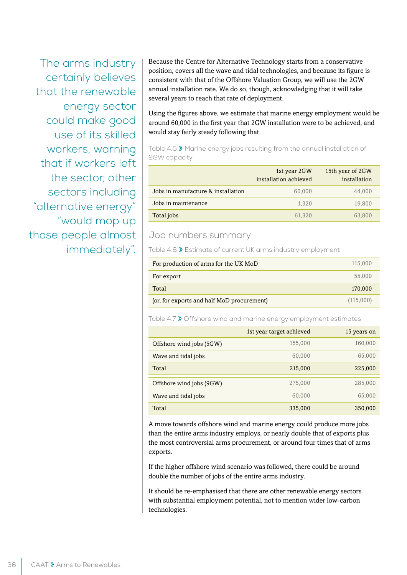The arms industry certainly believes that the renewable energy sector could make good use of its skilled workers, warning that if workers left the sector, other sectors including "alternative energy" "would mop up those people almost immediately".

Because the Centre for Alternative Technology starts from a conservative position, covers all the wave and tidal technologies, and because its figure is consistent with that of the Offshore Valuation Group, we will use the 2GW annual installation rate. We do so, though, acknowledging that it will take several years to reach that rate of deployment.

Using the figures above, we estimate that marine energy employment would be around 60,000 in the first year that 2GW installation were to be achieved, and would stay fairly steady following that.

Table 4.5 » Marine energy jobs resulting from the annual installation of 2GW capacity

|                                    | 1st year 2GW<br>installation achieved | 15th year of 2GW<br>installation |
|------------------------------------|---------------------------------------|----------------------------------|
| Jobs in manufacture & installation | 60,000                                | 44.000                           |
| Jobs in maintenance                | 1.320                                 | 19,800                           |
| Total jobs                         | 61,320                                | 63,800                           |

#### Job numbers summary

Table 4.6 » Estimate of current UK arms industry employment

| For production of arms for the UK MoD      | 115,000   |
|--------------------------------------------|-----------|
| For export                                 | 55,000    |
| Total                                      | 170,000   |
| (or, for exports and half MoD procurement) | (115,000) |

Table 4.7 » Offshore wind and marine energy employment estimates

|                          | 1st year target achieved | 15 years on |
|--------------------------|--------------------------|-------------|
| Offshore wind jobs (5GW) | 155,000                  | 160,000     |
| Wave and tidal jobs      | 60,000                   | 65,000      |
| Total                    | 215,000                  | 225,000     |
| Offshore wind jobs (9GW) | 275,000                  | 285,000     |
| Wave and tidal jobs      | 60,000                   | 65,000      |
| Total                    | 335,000                  | 350,000     |

A move towards offshore wind and marine energy could produce more jobs than the entire arms industry employs, or nearly double that of exports plus the most controversial arms procurement, or around four times that of arms exports.

If the higher offshore wind scenario was followed, there could be around double the number of jobs of the entire arms industry.

It should be re-emphasised that there are other renewable energy sectors with substantial employment potential, not to mention wider low-carbon technologies.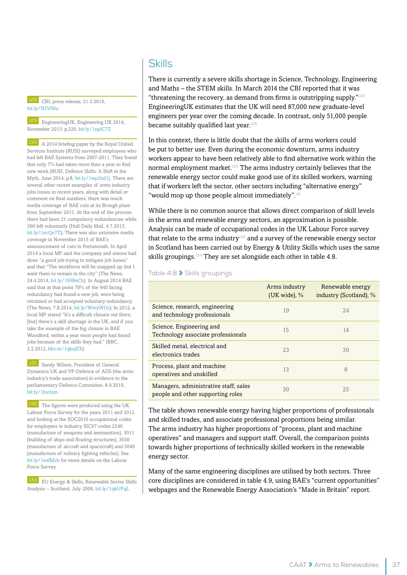128 CBI, press release, 21.3.2014, [bit.ly/N5VNIu](http://bit.ly/N5VNIu)

129 EngineeringUK, Engineering UK 2014, November 2013, p.220, [bit.ly/1nplC7Z](http://bit.ly/1nplC7Z)

130 A 2014 briefing paper by the Royal United Services Institute (RUSI) surveyed employees who had left BAE Systems from 2007-2011. They found that only 7% had taken more than a year to find new work (RUSI, Defence Skills: A Shift in the Myth, June 2014, p.8, [bit.ly/1wp3xd1\)](http://bit.ly/1wp3xd1). There are several other recent examples of arms industry jobs losses in recent years, along with detail or comment on final numbers: there was much media coverage of BAE cuts at its Brough plant from September 2011. At the end of the process there had been 21 compulsory redundancies while 360 left voluntarily (Hull Daily Mail, 4.7.2013, [bit.ly/1ecQe7T\)](http://bit.ly/1ecQe7T); There was also extensive media coverage in November 2013 of BAE's announcement of cuts in Portsmouth. In April 2014 a local MP said the company and unions had done "a good job trying to mitigate job losses" and that "The workforce will be snapped up, but I want them to remain in the city" (The News, 24.4.2014, [bit.ly/1lHBeCh\)](http://bit.ly/1lHBeCh). In August 2014 BAE said that at that point 70% of the 940 facing redundancy had found a new job, were being retrained or had accepted voluntary redundancy (The News, 7.8.2014, [bit.ly/WwyWUr](http://bit.ly/WWyWUr)); In 2012, a local MP stated "It's a difficult climate out there, [but] there's a skill shortage in the UK, and if you take the example of the big closure in BAE Woodford, within a year most people had found jobs because of the skills they had." (BBC, 2.2.2012, [bbc.in/1qkojEX\)](http://bbc.in/1qkojEX).

131 Sandy Wilson, President of General Dynamics UK and VP-Defence of ADS (the arms industry's trade association) in evidence to the parliamentary Defence Committee, 8.9.2010, [bit.ly/1hvitzm](http://bit.ly/1hvitzm)

132 The figures were produced using the UK Labour Force Survey for the years 2011 and 2012 and looking at the SOC2010 occupational codes for employees in industry SIC07 codes 2540 (manufacture of weapons and ammunition), 3011 (building of ships and floating structures), 3030 (manufacture of aircraft and spacecraft) and 3040 (manufacture of military fighting vehicles). See [bit.ly/1exfMcb](http://bit.ly/1exfMcb) for more details on the Labour Force Survey.

133 EU Energy & Skills, Renewable Sector Skills Analysis – Scotland, July 2009, [bit.ly/1qkUPqL](http://bit.ly/1qkUPqL)

## **Skills**

There is currently a severe skills shortage in Science, Technology, Engineering and Maths – the STEM skills. In March 2014 the CBI reported that it was "threatening the recovery, as demand from firms is outstripping supply." $128$ EngineeringUK estimates that the UK will need 87,000 new graduate-level engineers per year over the coming decade. In contrast, only 51,000 people became suitably qualified last year.<sup>129</sup>

In this context, there is little doubt that the skills of arms workers could be put to better use. Even during the economic downturn, arms industry workers appear to have been relatively able to find alternative work within the normal employment market.130 The arms industry certainly believes that the renewable energy sector could make good use of its skilled workers, warning that if workers left the sector, other sectors including "alternative energy" "would mop up those people almost immediately".<sup>131</sup>

While there is no common source that allows direct comparison of skill levels in the arms and renewable energy sectors, an approximation is possible. Analysis can be made of occupational codes in the UK Labour Force survey that relate to the arms industry<sup>132</sup> and a survey of the renewable energy sector in Scotland has been carried out by Energy & Utility Skills which uses the same skills groupings.<sup>133</sup> They are set alongside each other in table 4.8.

Table 4.8 » Skills groupings

|                                                                            | Arms industry<br>(UK wide), $%$ | Renewable energy<br>industry (Scotland), % |
|----------------------------------------------------------------------------|---------------------------------|--------------------------------------------|
| Science, research, engineering<br>and technology professionals             | 19                              | 2.4                                        |
| Science, Engineering and<br>Technology associate professionals             | 15                              | 14                                         |
| Skilled metal, electrical and<br>electronics trades                        | 23                              | 30                                         |
| Process, plant and machine<br>operatives and unskilled                     | 13                              | 8                                          |
| Managers, administrative staff, sales<br>people and other supporting roles | 30                              | 25                                         |

The table shows renewable energy having higher proportions of professionals and skilled trades, and associate professional proportions being similar. The arms industry has higher proportions of "process, plant and machine operatives" and managers and support staff. Overall, the comparison points towards higher proportions of technically skilled workers in the renewable energy sector.

Many of the same engineering disciplines are utilised by both sectors. Three core disciplines are considered in table 4.9, using BAE's "current opportunities" webpages and the Renewable Energy Association's "Made in Britain" report.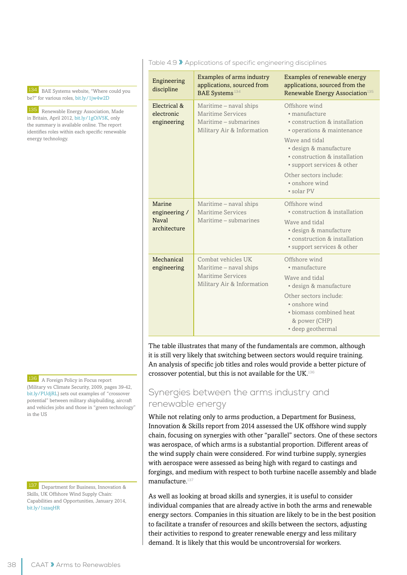**BAE Systems website, "Where could you** be?" for various roles, [bit.ly/1jw4w2D](http://bit.ly/1jw4w2D)

135 Renewable Energy Association, Made in Britain, April 2012, [bit.ly/1gOiV5K](http://bit.ly/1gOiV5K), only the summary is available online. The report identifies roles within each specific renewable energy technology.

136 A Foreign Policy in Focus report (Military vs Climate Security, 2009, pages 39-42, [bit.ly/PUdjRL](http://bit.ly/PUdjRL)) sets out examples of "crossover potential" between military shipbuilding, aircraft and vehicles jobs and those in "green technology" in the US

137 Department for Business, Innovation & Skills, UK Offshore Wind Supply Chain: Capabilities and Opportunities, January 2014, [bit.ly/1szaqHR](http://bit.ly/1szaqHR)

| Engineering<br>discipline                        | Examples of arms industry<br>applications, sourced from<br><b>BAE Systems</b> <sup>134</sup>           | Examples of renewable energy<br>applications, sourced from the<br>Renewable Energy Association <sup>135</sup>                                                                                                                                        |  |  |
|--------------------------------------------------|--------------------------------------------------------------------------------------------------------|------------------------------------------------------------------------------------------------------------------------------------------------------------------------------------------------------------------------------------------------------|--|--|
| Electrical &<br>electronic<br>engineering        | Maritime - naval ships<br>Maritime Services<br>Maritime – submarines<br>Military Air & Information     | Offshore wind<br>· manufacture<br>• construction & installation<br>• operations & maintenance<br>Waye and tidal<br>· design & manufacture<br>• construction & installation<br>· support services & other<br>Other sectors include:<br>• onshore wind |  |  |
| Marine<br>engineering /<br>Naval<br>architecture | Maritime – naval ships<br>Maritime Services<br>Maritime – submarines                                   | • solar PV<br>Offshore wind<br>• construction & installation<br>Wave and tidal<br>· design & manufacture<br>• construction & installation<br>· support services & other                                                                              |  |  |
| Mechanical<br>engineering                        | Combat vehicles UK<br>Maritime – naval ships<br><b>Maritime Services</b><br>Military Air & Information | Offshore wind<br>· manufacture<br>Wave and tidal<br>· design & manufacture<br>Other sectors include:<br>• onshore wind<br>• biomass combined heat<br>& power (CHP)<br>· deep geothermal                                                              |  |  |

The table illustrates that many of the fundamentals are common, although it is still very likely that switching between sectors would require training. An analysis of specific job titles and roles would provide a better picture of crossover potential, but this is not available for the UK.<sup>136</sup>

### Synergies between the arms industry and renewable energy

While not relating only to arms production, a Department for Business, Innovation & Skills report from 2014 assessed the UK offshore wind supply chain, focusing on synergies with other "parallel" sectors. One of these sectors was aerospace, of which arms is a substantial proportion. Different areas of the wind supply chain were considered. For wind turbine supply, synergies with aerospace were assessed as being high with regard to castings and forgings, and medium with respect to both turbine nacelle assembly and blade manufacture.<sup>137</sup>

As well as looking at broad skills and synergies, it is useful to consider individual companies that are already active in both the arms and renewable energy sectors. Companies in this situation are likely to be in the best position to facilitate a transfer of resources and skills between the sectors, adjusting their activities to respond to greater renewable energy and less military demand. It is likely that this would be uncontroversial for workers.

#### Table 4.9 » Applications of specific engineering disciplines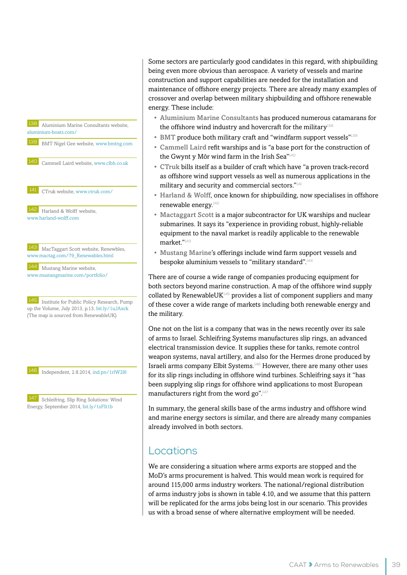

Some sectors are particularly good candidates in this regard, with shipbuilding being even more obvious than aerospace. A variety of vessels and marine construction and support capabilities are needed for the installation and maintenance of offshore energy projects. There are already many examples of crossover and overlap between military shipbuilding and offshore renewable energy. These include:

- Aluminium Marine Consultants has produced numerous catamarans for the offshore wind industry and hovercraft for the military<sup>138</sup>
- BMT produce both military craft and "windfarm support vessels"<sup>139</sup>
- Cammell Laird refit warships and is "a base port for the construction of the Gwynt y Môr wind farm in the Irish Sea"<sup>140</sup>
- CTruk bills itself as a builder of craft which have "a proven track-record as offshore wind support vessels as well as numerous applications in the military and security and commercial sectors."<sup>141</sup>
- Harland & Wolff, once known for shipbuilding, now specialises in offshore renewable energy.<sup>142</sup>
- Mactaggart Scott is a major subcontractor for UK warships and nuclear submarines. It says its "experience in providing robust, highly-reliable equipment to the naval market is readily applicable to the renewable market."<sup>143</sup>
- Mustang Marine's offerings include wind farm support vessels and bespoke aluminium vessels to "military standard".<sup>144</sup>

There are of course a wide range of companies producing equipment for both sectors beyond marine construction. A map of the offshore wind supply collated by RenewableUK $145$  provides a list of component suppliers and many of these cover a wide range of markets including both renewable energy and the military.

One not on the list is a company that was in the news recently over its sale of arms to Israel. Schleifring Systems manufactures slip rings, an advanced electrical transmission device. It supplies these for tanks, remote control weapon systems, naval artillery, and also for the Hermes drone produced by Israeli arms company Elbit Systems.146 However, there are many other uses for its slip rings including in offshore wind turbines. Schleifring says it "has been supplying slip rings for offshore wind applications to most European manufacturers right from the word go".<sup>147</sup>

In summary, the general skills base of the arms industry and offshore wind and marine energy sectors is similar, and there are already many companies already involved in both sectors.

## Locations

We are considering a situation where arms exports are stopped and the MoD's arms procurement is halved. This would mean work is required for around 115,000 arms industry workers. The national/regional distribution of arms industry jobs is shown in table 4.10, and we assume that this pattern will be replicated for the arms jobs being lost in our scenario. This provides us with a broad sense of where alternative employment will be needed.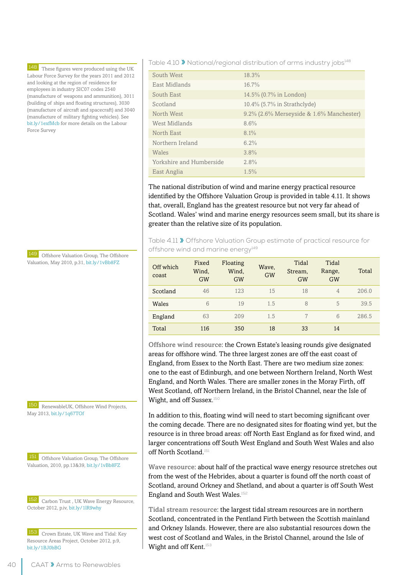These figures were produced using the UK Labour Force Survey for the years 2011 and 2012 and looking at the region of residence for employees in industry SIC07 codes 2540 (manufacture of weapons and ammunition), 3011 (building of ships and floating structures), 3030 (manufacture of aircraft and spacecraft) and 3040 (manufacture of military fighting vehicles). See [bit.ly/1exfMcb](http://bit.ly/1exfMcb) for more details on the Labour Force Survey

149 Offshore Valuation Group, The Offshore Valuation, May 2010, p.31, [bit.ly/1vBb8FZ](http://bit.ly/1vBb8FZ)

150 RenewableUK, Offshore Wind Projects, May 2013, [bit.ly/1q67TOf](http://bit.ly/1q67TOf)

151 Offshore Valuation Group, The Offshore Valuation, 2010, pp.13&39, [bit.ly/1vBb8FZ](http://bit.ly/1vBb8FZ)

152 Carbon Trust, UK Wave Energy Resource, October 2012, p.iv, [bit.ly/1lR9why](http://bit.ly/1lR9why)

153 Crown Estate, UK Wave and Tidal: Key Resource Areas Project, October 2012, p.9, [bit.ly/1BJ0bBG](http://bit.ly/1BJ0bBG)

Table 4.10 > National/regional distribution of arms industry jobs<sup>148</sup>

| South West               | 18.3%                                       |
|--------------------------|---------------------------------------------|
| East Midlands            | $16.7\%$                                    |
| South East               | 14.5% (0.7% in London)                      |
| Scotland                 | 10.4% (5.7% in Strathclyde)                 |
| North West               | $9.2\%$ (2.6% Merseyside & 1.6% Manchester) |
| West Midlands            | 8.6%                                        |
| North East               | 8.1%                                        |
| Northern Ireland         | $6.2\%$                                     |
| Wales                    | 3.8%                                        |
| Yorkshire and Humberside | $2.8\%$                                     |
| East Anglia              | $1.5\%$                                     |

The national distribution of wind and marine energy practical resource identified by the Offshore Valuation Group is provided in table 4.11. It shows that, overall, England has the greatest resource but not very far ahead of Scotland. Wales' wind and marine energy resources seem small, but its share is greater than the relative size of its population.

Table 4.11 » Offshore Valuation Group estimate of practical resource for offshore wind and marine energy<sup>149</sup>

| Off which<br>coast | Fixed<br>Wind,<br><b>GW</b> | Floating<br>Wind,<br><b>GW</b> | Wave,<br><b>GW</b> | Tidal<br>Stream,<br><b>GW</b> | Tidal<br>Range,<br><b>GW</b> | Total |
|--------------------|-----------------------------|--------------------------------|--------------------|-------------------------------|------------------------------|-------|
| Scotland           | 46                          | 123                            | 15                 | 18                            | $\overline{4}$               | 206.0 |
| Wales              | 6                           | 19                             | 1.5                | 8                             | 5                            | 39.5  |
| England            | 63                          | 209                            | 1.5                | 7                             | 6                            | 286.5 |
| Total              | 116                         | 350                            | 18                 | 33                            | 14                           |       |

Offshore wind resource: the Crown Estate's leasing rounds give designated areas for offshore wind. The three largest zones are off the east coast of England, from Essex to the North East. There are two medium size zones: one to the east of Edinburgh, and one between Northern Ireland, North West England, and North Wales. There are smaller zones in the Moray Firth, off West Scotland, off Northern Ireland, in the Bristol Channel, near the Isle of Wight, and off Sussex.<sup>150</sup>

In addition to this, floating wind will need to start becoming significant over the coming decade. There are no designated sites for floating wind yet, but the resource is in three broad areas: off North East England as for fixed wind, and larger concentrations off South West England and South West Wales and also off North Scotland.<sup>151</sup>

Wave resource: about half of the practical wave energy resource stretches out from the west of the Hebrides, about a quarter is found off the north coast of Scotland, around Orkney and Shetland, and about a quarter is off South West England and South West Wales.<sup>152</sup>

Tidal stream resource: the largest tidal stream resources are in northern Scotland, concentrated in the Pentland Firth between the Scottish mainland and Orkney Islands. However, there are also substantial resources down the west cost of Scotland and Wales, in the Bristol Channel, around the Isle of Wight and off Kent.<sup>153</sup>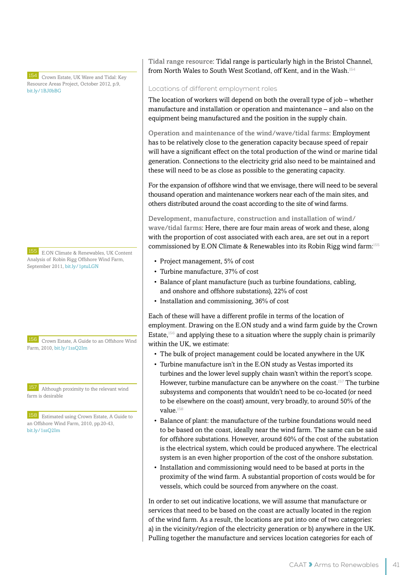154 Crown Estate, UK Wave and Tidal: Key Resource Areas Project, October 2012, p.9, [bit.ly/1BJ0bBG](http://bit.ly/1BJ0bBG)

155 E.ON Climate & Renewables, UK Content Analysis of Robin Rigg Offshore Wind Farm, September 2011, [bit.ly/1ptuLGN](http://bit.ly/1ptuLGN)

156 Crown Estate, A Guide to an Offshore Wind Farm, 2010, [bit.ly/1ssQ2Im](http://bit.ly/1ssQ2Im)

157 Although proximity to the relevant wind farm is desirable

158 Estimated using Crown Estate, A Guide to an Offshore Wind Farm, 2010, pp.20-43, [bit.ly/1ssQ2Im](http://bit.ly/1ssQ2Im)

Tidal range resource: Tidal range is particularly high in the Bristol Channel, from North Wales to South West Scotland, off Kent, and in the Wash.<sup>154</sup>

#### Locations of different employment roles

The location of workers will depend on both the overall type of job – whether manufacture and installation or operation and maintenance – and also on the equipment being manufactured and the position in the supply chain.

Operation and maintenance of the wind/wave/tidal farms: Employment has to be relatively close to the generation capacity because speed of repair will have a significant effect on the total production of the wind or marine tidal generation. Connections to the electricity grid also need to be maintained and these will need to be as close as possible to the generating capacity.

For the expansion of offshore wind that we envisage, there will need to be several thousand operation and maintenance workers near each of the main sites, and others distributed around the coast according to the site of wind farms.

Development, manufacture, construction and installation of wind/ wave/tidal farms: Here, there are four main areas of work and these, along with the proportion of cost associated with each area, are set out in a report commissioned by E.ON Climate & Renewables into its Robin Rigg wind farm:<sup>155</sup>

- Project management, 5% of cost
- Turbine manufacture, 37% of cost
- Balance of plant manufacture (such as turbine foundations, cabling, and onshore and offshore substations), 22% of cost
- Installation and commissioning, 36% of cost

Each of these will have a different profile in terms of the location of employment. Drawing on the E.ON study and a wind farm guide by the Crown Estate,<sup>156</sup> and applying these to a situation where the supply chain is primarily within the UK, we estimate:

- The bulk of project management could be located anywhere in the UK
- Turbine manufacture isn't in the E.ON study as Vestas imported its turbines and the lower level supply chain wasn't within the report's scope. However, turbine manufacture can be anywhere on the coast.<sup>157</sup> The turbine subsystems and components that wouldn't need to be co-located (or need to be elsewhere on the coast) amount, very broadly, to around 50% of the value.<sup>158</sup>
- Balance of plant: the manufacture of the turbine foundations would need to be based on the coast, ideally near the wind farm. The same can be said for offshore substations. However, around 60% of the cost of the substation is the electrical system, which could be produced anywhere. The electrical system is an even higher proportion of the cost of the onshore substation.
- Installation and commissioning would need to be based at ports in the proximity of the wind farm. A substantial proportion of costs would be for vessels, which could be sourced from anywhere on the coast.

In order to set out indicative locations, we will assume that manufacture or services that need to be based on the coast are actually located in the region of the wind farm. As a result, the locations are put into one of two categories: a) in the vicinity/region of the electricity generation or b) anywhere in the UK. Pulling together the manufacture and services location categories for each of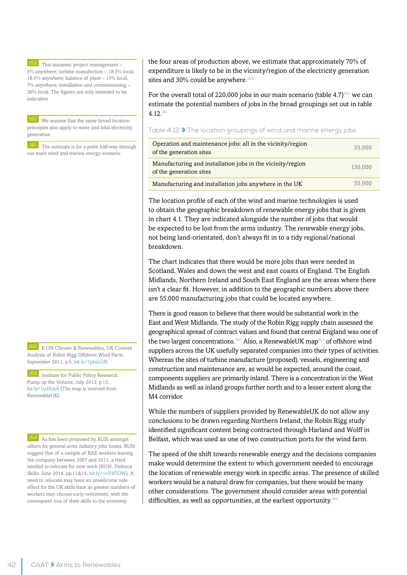This assumes: project management – 5% anywhere; turbine manufacture – 18.5% local, 18.5% anywhere; balance of plant – 15% local, 7% anywhere; installation and commissioning – 36% local. The figures are only intended to be indicative

160 We assume that the same broad location principles also apply to wave and tidal electricity generation

161 The estimate is for a point half-way through our main wind and marine energy scenario

162 E.ON Climate & Renewables, UK Content Analysis of Robin Rigg Offshore Wind Farm, September 2011, p.5, [bit.ly/1ptuLGN](http://bit.ly/1ptuLGN)

163 Institute for Public Policy Research, Pump up the Volume, July 2013, p.13, [bit.ly/1uJAxck](http://bit.ly/1uJAxck) (The map is sourced from RenewableUK)

164 As has been proposed by RUSI amongst others for general arms industry jobs losses. RUSI suggest that of a sample of BAE workers leaving the company between 2007 and 2011, a third needed to relocate for new work (RUSI, Defence Skills, June 2014, pp.11&13, [bit.ly/1nV9TOW](http://bit.ly/1nV9TOW)). A need to relocate may have an unwelcome side effect for the UK skills base as greater numbers of workers may choose early retirement, with the consequent loss of their skills to the economy.

the four areas of production above, we estimate that approximately 70% of expenditure is likely to be in the vicinity/region of the electricity generation sites and 30% could be anywhere.<sup>159</sup>

For the overall total of 220,000 jobs in our main scenario (table 4.7)<sup>160</sup> we can estimate the potential numbers of jobs in the broad groupings set out in table 4.12.<sup>161</sup>

Table 4.12 » The location groupings of wind and marine energy jobs

| Operation and maintenance jobs: all in the vicinity/region<br>of the generation sites | 35,000  |
|---------------------------------------------------------------------------------------|---------|
| Manufacturing and installation jobs in the vicinity/region<br>of the generation sites | 130,000 |
| Manufacturing and installation jobs anywhere in the UK                                | 55,000  |

The location profile of each of the wind and marine technologies is used to obtain the geographic breakdown of renewable energy jobs that is given in chart 4.1. They are indicated alongside the number of jobs that would be expected to be lost from the arms industry. The renewable energy jobs, not being land-orientated, don't always fit in to a tidy regional/national breakdown.

The chart indicates that there would be more jobs than were needed in Scotland, Wales and down the west and east coasts of England. The English Midlands, Northern Ireland and South East England are the areas where there isn't a clear fit. However, in addition to the geographic numbers above there are 55,000 manufacturing jobs that could be located anywhere.

There is good reason to believe that there would be substantial work in the East and West Midlands. The study of the Robin Rigg supply chain assessed the geographical spread of contract values and found that central England was one of the two largest concentrations.<sup>162</sup> Also, a RenewableUK map<sup>163</sup> of offshore wind suppliers across the UK usefully separated companies into their types of activities. Whereas the sites of turbine manufacture (proposed), vessels, engineering and construction and maintenance are, as would be expected, around the coast, components suppliers are primarily inland. There is a concentration in the West Midlands as well as inland groups further north and to a lesser extent along the M4 corridor.

While the numbers of suppliers provided by RenewableUK do not allow any conclusions to be drawn regarding Northern Ireland, the Robin Rigg study identified significant content being contracted through Harland and Wolff in Belfast, which was used as one of two construction ports for the wind farm.

The speed of the shift towards renewable energy and the decisions companies make would determine the extent to which government needed to encourage the location of renewable energy work in specific areas. The presence of skilled workers would be a natural draw for companies, but there would be many other considerations. The government should consider areas with potential difficulties, as well as opportunities, at the earliest opportunity.<sup>164</sup>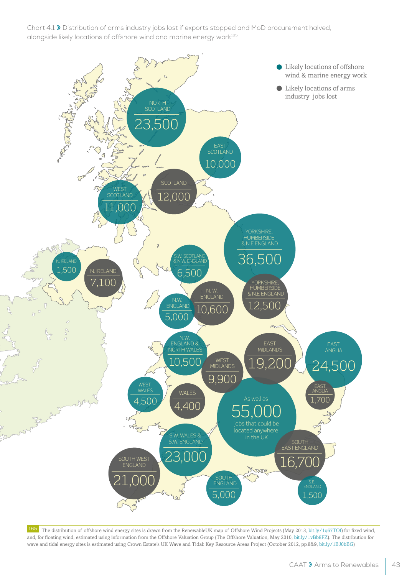Chart 4.1 » Distribution of arms industry jobs lost if exports stopped and MoD procurement halved, alongside likely locations of offshore wind and marine energy work<sup>165</sup>



165 The distribution of offshore wind energy sites is drawn from the RenewableUK map of Offshore Wind Projects (May 2013, [bit.ly/1q67TOf](http://bit.ly/1q67TOf)) for fixed wind, and, for floating wind, estimated using information from the Offshore Valuation Group (The Offshore Valuation, May 2010, [bit.ly/1vBb8FZ](http://bit.ly/1vBb8FZ)). The distribution for wave and tidal energy sites is estimated using Crown Estate's UK Wave and Tidal: Key Resource Areas Project (October 2012, pp.8&9, [bit.ly/1BJ0bBG\)](http://bit.ly/1BJ0bBG)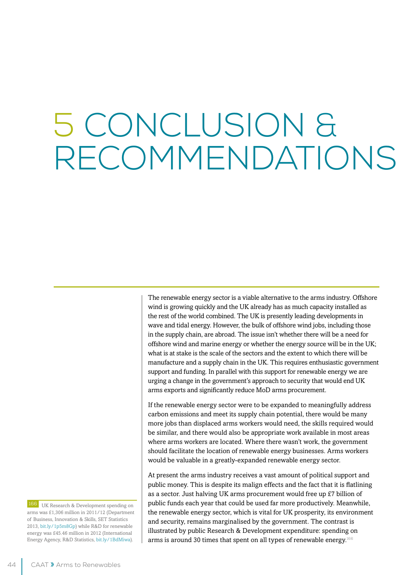## 5 CONCLUSION & RECOMMENDATIONS

The renewable energy sector is a viable alternative to the arms industry. Offshore wind is growing quickly and the UK already has as much capacity installed as the rest of the world combined. The UK is presently leading developments in wave and tidal energy. However, the bulk of offshore wind jobs, including those in the supply chain, are abroad. The issue isn't whether there will be a need for offshore wind and marine energy or whether the energy source will be in the UK; what is at stake is the scale of the sectors and the extent to which there will be manufacture and a supply chain in the UK. This requires enthusiastic government support and funding. In parallel with this support for renewable energy we are urging a change in the government's approach to security that would end UK arms exports and significantly reduce MoD arms procurement.

If the renewable energy sector were to be expanded to meaningfully address carbon emissions and meet its supply chain potential, there would be many more jobs than displaced arms workers would need, the skills required would be similar, and there would also be appropriate work available in most areas where arms workers are located. Where there wasn't work, the government should facilitate the location of renewable energy businesses. Arms workers would be valuable in a greatly-expanded renewable energy sector.

At present the arms industry receives a vast amount of political support and public money. This is despite its malign effects and the fact that it is flatlining as a sector. Just halving UK arms procurement would free up £7 billion of public funds each year that could be used far more productively. Meanwhile, the renewable energy sector, which is vital for UK prosperity, its environment and security, remains marginalised by the government. The contrast is illustrated by public Research & Development expenditure: spending on arms is around 30 times that spent on all types of renewable energy.<sup>166</sup>

166 UK Research & Development spending on arms was £1,306 million in 2011/12 (Department of Business, Innovation & Skills, SET Statistics 2013, [bit.ly/1p5m8Gp](http://bit.ly/1p5m8Gp)) while R&D for renewable energy was £45.46 million in 2012 (International Energy Agency, R&D Statistics, [bit.ly/1BdMiwa\)](http://bit.ly/1BdMiwa).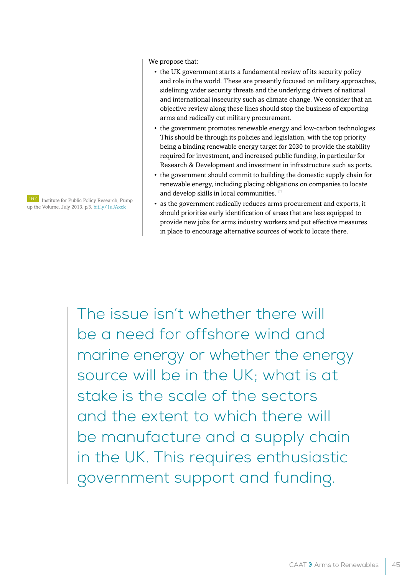We propose that:

- the UK government starts a fundamental review of its security policy and role in the world. These are presently focused on military approaches, sidelining wider security threats and the underlying drivers of national and international insecurity such as climate change. We consider that an objective review along these lines should stop the business of exporting arms and radically cut military procurement.
- the government promotes renewable energy and low-carbon technologies. This should be through its policies and legislation, with the top priority being a binding renewable energy target for 2030 to provide the stability required for investment, and increased public funding, in particular for Research & Development and investment in infrastructure such as ports.
- the government should commit to building the domestic supply chain for renewable energy, including placing obligations on companies to locate and develop skills in local communities.<sup>167</sup>
- 167 Institute for Public Policy Research, Pump up the Volume, July 2013, p.3, [bit.ly/1uJAxck](http://bit.ly/1uJAxck)
- as the government radically reduces arms procurement and exports, it should prioritise early identification of areas that are less equipped to provide new jobs for arms industry workers and put effective measures in place to encourage alternative sources of work to locate there.

The issue isn't whether there will be a need for offshore wind and marine energy or whether the energy source will be in the UK; what is at stake is the scale of the sectors and the extent to which there will be manufacture and a supply chain in the UK. This requires enthusiastic government support and funding.